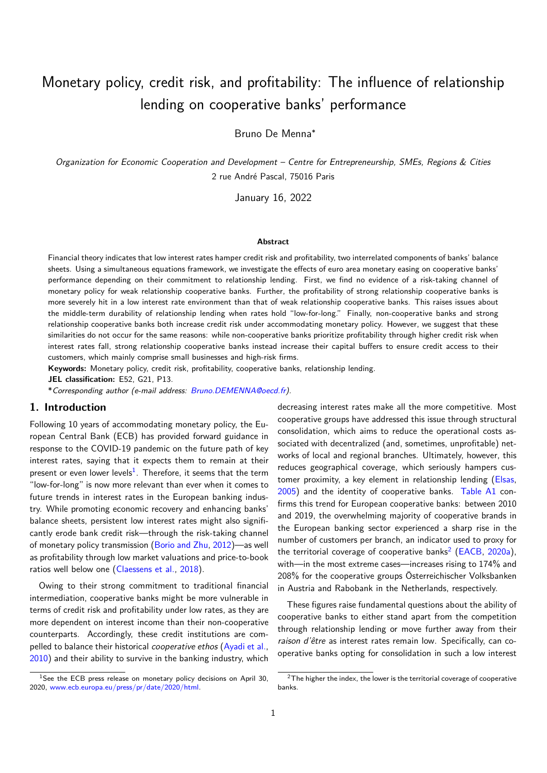# Monetary policy, credit risk, and profitability: The influence of relationship lending on cooperative banks' performance

Bruno De Menna<sup>∗</sup>

*Organization for Economic Cooperation and Development – Centre for Entrepreneurship, SMEs, Regions & Cities* 2 rue André Pascal, 75016 Paris

January 16, 2022

### **Abstract**

Financial theory indicates that low interest rates hamper credit risk and profitability, two interrelated components of banks' balance sheets. Using a simultaneous equations framework, we investigate the effects of euro area monetary easing on cooperative banks' performance depending on their commitment to relationship lending. First, we find no evidence of a risk-taking channel of monetary policy for weak relationship cooperative banks. Further, the profitability of strong relationship cooperative banks is more severely hit in a low interest rate environment than that of weak relationship cooperative banks. This raises issues about the middle-term durability of relationship lending when rates hold "low-for-long." Finally, non-cooperative banks and strong relationship cooperative banks both increase credit risk under accommodating monetary policy. However, we suggest that these similarities do not occur for the same reasons: while non-cooperative banks prioritize profitability through higher credit risk when interest rates fall, strong relationship cooperative banks instead increase their capital buffers to ensure credit access to their customers, which mainly comprise small businesses and high-risk firms.

**Keywords:** Monetary policy, credit risk, profitability, cooperative banks, relationship lending.

**JEL classification:** E52, G21, P13.

\**Corresponding author (e-mail address: Bruno.DEMENNA@oecd.fr).*

### **1. Introduction**

Following 10 years of accommodating monetary policy, the European Central Bank (ECB) has provided [forward guidance in](mailto:Bruno.DEMENNA@oecd.fr) response to the COVID-19 pandemic on the future path of key interest rates, saying that it expects them to remain at their present or even lower levels $^1$ . Therefore, it seems that the term "low-for-long" is now more relevant than ever when it comes to future trends in interest rates in the European banking industry. While promoting economic recovery and enhancing banks' balance sheets, persistent [lo](#page-0-0)w interest rates might also significantly erode bank credit risk—through the risk-taking channel of monetary policy transmission (Borio and Zhu, 2012)—as well as profitability through low market valuations and price-to-book ratios well below one (Claessens et al., 2018).

Owing to their strong comm[itment to trad](#page-18-0)i[tional](#page-18-0) financial intermediation, cooperative banks might be more vulnerable in terms of credit risk an[d profitability un](#page-18-1)d[er low](#page-18-1) rates, as they are more dependent on interest income than their non-cooperative counterparts. Accordingly, these credit institutions are compelled to balance their historical *cooperative ethos* (Ayadi et al., 2010) and their ability to survive in the banking industry, which

decreasing interest rates make all the more competitive. Most cooperative groups have addressed this issue through structural consolidation, which aims to reduce the operational costs associated with decentralized (and, sometimes, unprofitable) networks of local and regional branches. Ultimately, however, this reduces geographical coverage, which seriously hampers customer proximity, a key element in relationship lending (Elsas, 2005) and the identity of cooperative banks. Table A1 confirms this trend for European cooperative banks: between 2010 and 2019, the overwhelming majority of cooperative brands in the European banking sector experienced a sharp rise [in the](#page-19-0) [numb](#page-19-0)er of customers per branch, an indicator u[sed to prox](#page-17-0)y for the territorial coverage of cooperative banks $^2$  (EACB, 2020a), with—in the most extreme cases—increases rising to 174% and 208% for the cooperative groups Österreichischer Volksbanken in Austria and Rabobank in the Netherlands[,](#page-0-1) respectively.

These figures raise fundamental questions ab[out the](#page-19-1) [ability o](#page-19-1)f cooperative banks to either stand apart from the competition through relationship lending or move further away from their *raison d'être* as interest rates remain low. Specifically, can cooperative banks opting for consolidation in such a low interest

<span id="page-0-0"></span> $1$ See the ECB press release on monetary policy decisions on April 30, 2020, www.ecb.europa.eu/press/pr/date/2020/html.

<span id="page-0-1"></span> $2$ The higher the index, the lower is the territorial coverage of cooperative banks.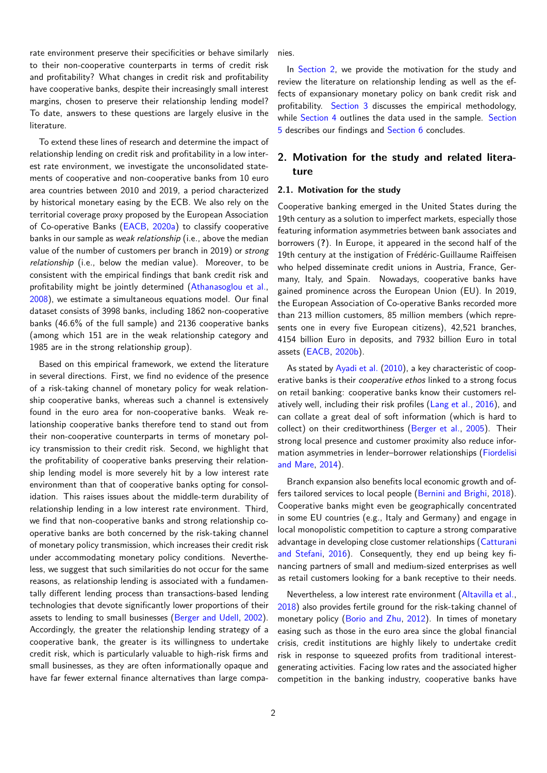rate environment preserve their specificities or behave similarly to their non-cooperative counterparts in terms of credit risk and profitability? What changes in credit risk and profitability have cooperative banks, despite their increasingly small interest margins, chosen to preserve their relationship lending model? To date, answers to these questions are largely elusive in the literature.

To extend these lines of research and determine the impact of relationship lending on credit risk and profitability in a low interest rate environment, we investigate the unconsolidated statements of cooperative and non-cooperative banks from 10 euro area countries between 2010 and 2019, a period characterized by historical monetary easing by the ECB. We also rely on the territorial coverage proxy proposed by the European Association of Co-operative Banks (EACB, 2020a) to classify cooperative banks in our sample as *weak relationship* (i.e., above the median value of the number of customers per branch in 2019) or *strong relationship* (i.e., below the median value). Moreover, to be consistent with the emp[irical fi](#page-19-1)n[dings t](#page-19-1)hat bank credit risk and profitability might be jointly determined (Athanasoglou et al., 2008), we estimate a simultaneous equations model. Our final dataset consists of 3998 banks, including 1862 non-cooperative banks (46.6% of the full sample) and 2136 cooperative banks (among which 151 are in the weak relati[onship category and](#page-18-2) [1985](#page-18-2) are in the strong relationship group).

Based on this empirical framework, we extend the literature in several directions. First, we find no evidence of the presence of a risk-taking channel of monetary policy for weak relationship cooperative banks, whereas such a channel is extensively found in the euro area for non-cooperative banks. Weak relationship cooperative banks therefore tend to stand out from their non-cooperative counterparts in terms of monetary policy transmission to their credit risk. Second, we highlight that the profitability of cooperative banks preserving their relationship lending model is more severely hit by a low interest rate environment than that of cooperative banks opting for consolidation. This raises issues about the middle-term durability of relationship lending in a low interest rate environment. Third, we find that non-cooperative banks and strong relationship cooperative banks are both concerned by the risk-taking channel of monetary policy transmission, which increases their credit risk under accommodating monetary policy conditions. Nevertheless, we suggest that such similarities do not occur for the same reasons, as relationship lending is associated with a fundamentally different lending process than transactions-based lending technologies that devote significantly lower proportions of their assets to lending to small businesses (Berger and Udell, 2002). Accordingly, the greater the relationship lending strategy of a cooperative bank, the greater is its willingness to undertake credit risk, which is particularly valuable to high-risk firms and small businesses, as they are often inf[ormationally opaque an](#page-18-3)d have far fewer external finance alternatives than large companies.

In Section 2, we provide the motivation for the study and review the literature on relationship lending as well as the effects of expansionary monetary policy on bank credit risk and profitability. Section 3 discusses the empirical methodology, while [Section 4](#page-1-0) outlines the data used in the sample. Section 5 describes our findings and Section 6 concludes.

# **2. [Motivati](#page-6-0)[on for](#page-5-0) the study and related [litera](#page-9-0)ture**

### <span id="page-1-0"></span>**2.1. Motivation for the study**

Cooperative banking emerged in the United States during the 19th century as a solution to imperfect markets, especially those featuring information asymmetries between bank associates and borrowers (**?**). In Europe, it appeared in the second half of the 19th century at the instigation of Frédéric-Guillaume Raiffeisen who helped disseminate credit unions in Austria, France, Germany, Italy, and Spain. Nowadays, cooperative banks have gained prominence across the European Union (EU). In 2019, the European Association of Co-operative Banks recorded more than 213 million customers, 85 million members (which represents one in every five European citizens), 42,521 branches, 4154 billion Euro in deposits, and 7932 billion Euro in total assets (EACB, 2020b).

As stated by Ayadi et al. (2010), a key characteristic of cooperative banks is their *cooperative ethos* linked to a strong focus on reta[il bank](#page-19-2)i[ng: coo](#page-19-2)perative banks know their customers relatively well, including their risk profiles (Lang et al., 2016), and can collate a [great deal of soft](#page-18-4) information (which is hard to collect) on their creditworthiness (Berger et al., 2005). Their strong local presence and customer proximity also reduce information asymmetries in lender–borrower [relationships \(Fio](#page-19-3)rdelisi and Mare, 2014).

Branch expansion also benefits lo[cal economic](#page-18-5) [growth](#page-18-5) and offers tailored services to local people (Bernini and Brighi, [2018\).](#page-19-4) [Cooperati](#page-19-4)v[e ban](#page-19-4)ks might even be geographically concentrated in some EU countries (e.g., Italy and Germany) and engage in local monopolistic competition to capture a strong comparative advantage in developing close custo[mer relationships \(Catturan](#page-18-6)i and Stefani, 2016). Consequently, they end up being key financing partners of small and medium-sized enterprises as well as retail customers looking for a bank receptive to their needs.

[Neverthel](#page-18-7)e[ss, a l](#page-18-7)ow interest rate environment (Alta[villa et al.,](#page-18-7) 2018) also provides fertile ground for the risk-taking channel of monetary policy (Borio and Zhu, 2012). In times of monetary easing such as those in the euro area since the global financial crisis, credit institutions are highly likely to u[ndertake credit](#page-18-8) [risk i](#page-18-8)n response to squeezed profits from traditional interestgenerating activit[ies. Facing low rates a](#page-18-0)nd the associated higher competition in the banking industry, cooperative banks have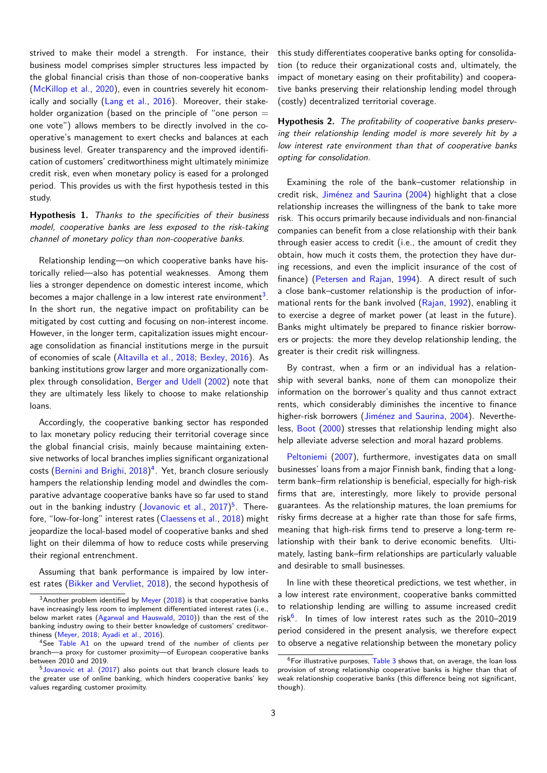strived to make their model a strength. For instance, their business model comprises simpler structures less impacted by the global financial crisis than those of non-cooperative banks (McKillop et al., 2020), even in countries severely hit economically and socially (Lang et al., 2016). Moreover, their stakeholder organization (based on the principle of "one person  $=$ one vote") allows members to be directly involved in the co[operative's man](#page-19-5)a[geme](#page-19-5)nt to exert checks and balances at each business level. Gre[ater transparency a](#page-19-3)nd the improved identification of customers' creditworthiness might ultimately minimize credit risk, even when monetary policy is eased for a prolonged period. This provides us with the first hypothesis tested in this study.

**Hypothesis 1.** *Thanks to the specificities of their business model, cooperative banks are less exposed to the risk-taking channel of monetary policy than non-cooperative banks.*

<span id="page-2-4"></span>Relationship lending—on which cooperative banks have historically relied—also has potential weaknesses. Among them lies a stronger dependence on domestic interest income, which becomes a major challenge in a low interest rate environment $^3$ . In the short run, the negative impact on profitability can be mitigated by cost cutting and focusing on non-interest income. However, in the longer term, capitalization issues might encourage consolidation as financial institutions merge in the purs[uit](#page-2-0) of economies of scale (Altavilla et al., 2018; Bexley, 2016). As banking institutions grow larger and more organizationally complex through consolidation, Berger and Udell (2002) note that they are ultimately les[s likely to choose to](#page-18-8) [make relation](#page-18-9)ship loans.

Accordingly, the coopera[tive banking sect](#page-18-3)o[r has](#page-18-3) responded to lax monetary policy reducing their territorial coverage since the global financial crisis, mainly because maintaining extensive networks of local branches implies significant organizational costs (Bernini and Brighi, 2018)<sup>4</sup>. Yet, branch closure seriously hampers the relationship lending model and dwindles the comparative advantage cooperative banks have so far used to stand out in the banking industry (Jovanovic et al., 2017)<sup>5</sup>. Therefore, "[low-for-long" interest rate](#page-18-6)[s](#page-2-1) (Claessens et al., 2018) might jeopardize the local-based model of cooperative banks and shed light on their dilemma of ho[w to reduce costs while](#page-19-6) [pr](#page-2-2)eserving their regional entrenchment.

Assuming that bank performa[nce is impaired](#page-18-1) [by low](#page-18-1) interest rates (Bikker and Vervliet, 2018), the second hypothesis of this study differentiates cooperative banks opting for consolidation (to reduce their organizational costs and, ultimately, the impact of monetary easing on their profitability) and cooperative banks preserving their relationship lending model through (costly) decentralized territorial coverage.

**Hypothesis 2.** *The profitability of cooperative banks preserving their relationship lending model is more severely hit by a low interest rate environment than that of cooperative banks opting for consolidation.*

<span id="page-2-5"></span>Examining the role of the bank–customer relationship in credit risk, Jiménez and Saurina (2004) highlight that a close relationship increases the willingness of the bank to take more risk. This occurs primarily because individuals and non-financial companies can benefit from a close relationship with their bank through ea[sier access to credit \(i](#page-19-7).[e., the](#page-19-7) amount of credit they obtain, how much it costs them, the protection they have during recessions, and even the implicit insurance of the cost of finance) (Petersen and Rajan, 1994). A direct result of such a close bank–customer relationship is the production of informational rents for the bank involved (Rajan, 1992), enabling it to exercise a degree of market power (at least in the future). Banks mi[ght ultimately be prepared](#page-20-1) to finance riskier borrowers or projects: the more they develo[p relati](#page-20-2)o[nship](#page-20-2) lending, the greater is their credit risk willingness.

By contrast, when a firm or an individual has a relationship with several banks, none of them can monopolize their information on the borrower's quality and thus cannot extract rents, which considerably diminishes the incentive to finance higher-risk borrowers (Jiménez and Saurina, 2004). Nevertheless, Boot (2000) stresses that relationship lending might also help alleviate adverse selection and moral hazard problems.

Peltoniemi (2007), [furthermore, investigates da](#page-19-7)ta on small busi[nesses](#page-18-13)' [loans](#page-18-13) from a major Finnish bank, finding that a longterm bank–firm relationship is beneficial, especially for high-risk firms that are, interestingly, more likely to provide personal g[uarantees. As the r](#page-20-3)elationship matures, the loan premiums for risky firms decrease at a higher rate than those for safe firms, meaning that high-risk firms tend to preserve a long-term relationship with their bank to derive economic benefits. Ultimately, lasting bank–firm relationships are particularly valuable and desirable to small businesses.

In line with these theoretical predictions, we test whether, in a low interest rate environment, cooperative banks committed to relationship lending are willing to assume increased credit risk<sup>6</sup>. In times of low interest rates such as the 2010–2019 period considered in the present analysis, we therefore expect to observe a negative relationship between the monetary policy

 $3A$ nother problem identified by Meyer (2018) is that cooperative banks have increasingly less room to implement differentiated interest rates (i.e., below market rates (Agarwal and Hauswald, 2010)) than the rest of the banking ind[ustry owing to their bet](#page-18-10)t[er kno](#page-18-10)wledge of customers' creditworthiness (Meyer, 2018; Ayadi et al., 2016).

<span id="page-2-0"></span><sup>&</sup>lt;sup>4</sup>See Table A1 on the upwar[d tren](#page-20-0)d [of t](#page-20-0)he number of clients per branch—a proxy for customer proximity—of European cooperative banks between 2010 and 2019.

<span id="page-2-2"></span><span id="page-2-1"></span> $5$ Jovanovic et al.  $(2017)$  also points out [that b](#page-18-11)ranch closure leads to the grea[ter use of on](#page-20-0)[line banking](#page-18-12), [whic](#page-18-12)h hinders cooperative banks' key values re[garding cu](#page-17-0)stomer proximity.

<span id="page-2-3"></span> $6$ [F](#page-2-3)or illustrative purposes,  $Table 3$  shows that, on average, the loan loss provision of strong relationship cooperative banks is higher than that of weak relationship cooperative banks (this difference being not significant, though).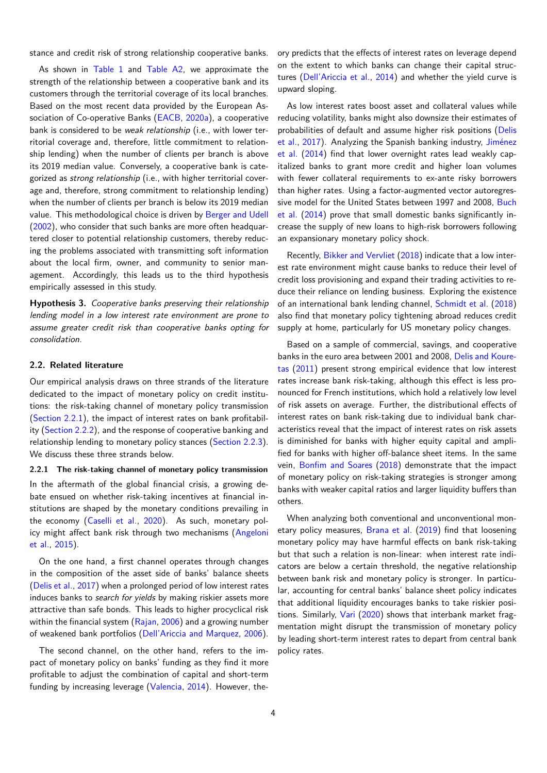stance and credit risk of strong relationship cooperative banks.

As shown in Table 1 and Table A2, we approximate the strength of the relationship between a cooperative bank and its customers through the territorial coverage of its local branches. Based on the most recent data provided by the European Association of Co-[operative](#page-7-0) Ban[ks \(EACB,](#page-17-1) 2020a), a cooperative bank is considered to be *weak relationship* (i.e., with lower territorial coverage and, therefore, little commitment to relationship lending) when the number of clients per branch is above its 2019 median value. Conversel[y, a cooperativ](#page-19-1)e bank is categorized as *strong relationship* (i.e., with higher territorial coverage and, therefore, strong commitment to relationship lending) when the number of clients per branch is below its 2019 median value. This methodological choice is driven by Berger and Udell (2002), who consider that such banks are more often headquartered closer to potential relationship customers, thereby reducing the problems associated with transmitting soft information about the local firm, owner, and communit[y to senior man](#page-18-3)[ageme](#page-18-3)nt. Accordingly, this leads us to the third hypothesis empirically assessed in this study.

**Hypothesis 3.** *Cooperative banks preserving their relationship lending model in a low interest rate environment are prone to assume greater credit risk than cooperative banks opting for consolidation.*

### <span id="page-3-1"></span>**2.2. Related literature**

Our empirical analysis draws on three strands of the literature dedicated to the impact of monetary policy on credit institutions: the risk-taking channel of monetary policy transmission (Section 2.2.1), the impact of interest rates on bank profitability (Section 2.2.2), and the response of cooperative banking and relationship lending to monetary policy stances (Section 2.2.3). [We discuss the](#page-3-0)se three strands below.

<span id="page-3-0"></span>**2.2.1 [The risk-t](#page-4-0)aking channel of monetary policy transmission** In the aftermath of the global financial crisis, [a growing de](#page-4-1)bate ensued on whether risk-taking incentives at financial institutions are shaped by the monetary conditions prevailing in the economy (Caselli et al., 2020). As such, monetary policy might affect bank risk through two mechanisms (Angeloni et al., 2015).

On the one [hand, a first](#page-18-14) c[hanne](#page-18-14)l operates through changes in the composition of the asset side of banks' balan[ce sheets](#page-18-15) [\(Delis et al.,](#page-18-15) 2017) when a prolonged period of low interest rates induces banks to *search for yields* by making riskier assets more attractive than safe bonds. This leads to higher procyclical risk within the financial system (Rajan, 2006) and a growing number [of weakened bank](#page-19-8) portfolios (Dell'Ariccia and Marquez, 2006).

The second channel, on the other hand, refers to the impact of monetary policy on [banks](#page-20-4)' [fund](#page-20-4)ing as they find it more profitable to adjust the com[bination of capital and short-term](#page-19-9) funding by increasing leverage (Valencia, 2014). However, theory predicts that the effects of interest rates on leverage depend on the extent to which banks can change their capital structures (Dell'Ariccia et al., 2014) and whether the yield curve is upward sloping.

As low interest rates boost asset and collateral values while reduci[ng volatility, banks might](#page-19-10) also downsize their estimates of probabilities of default and assume higher risk positions (Delis et al., 2017). Analyzing the Spanish banking industry, Jiménez et al. (2014) find that lower overnight rates lead weakly capitalized banks to grant more credit and higher loan volumes with fewer collateral requirements to ex-ante risky borr[owers](#page-19-8) [than](#page-19-8) h[igher](#page-19-8) rates. Using a factor-augmented vector au[toregres](#page-19-11)[sive model fo](#page-19-11)r the United States between 1997 and 2008, Buch et al. (2014) prove that small domestic banks significantly increase the supply of new loans to high-risk borrowers following an expansionary monetary policy shock.

[Recently,](#page-18-16) Bikker and Vervliet (2018) indicate that a low [inter](#page-18-16)est rate environment might cause banks to reduce their level of credit loss provisioning and expand their trading activities to reduce their reliance on lending business. Exploring the existence of an intern[ational bank lending chan](#page-18-10)nel, Schmidt et al. (2018) also find that monetary policy tightening abroad reduces credit supply at home, particularly for US monetary policy changes.

Based on a sample of commercial, sav[ings, and cooperative](#page-20-5) banks in the euro area between 2001 and 2008, Delis and Kouretas (2011) present strong empirical evidence that low interest rates increase bank risk-taking, although this effect is less pronounced for French institutions, which hold a relatively low level of risk assets on average. Further, the distrib[utional effects of](#page-19-12) [inte](#page-19-12)r[est ra](#page-19-12)tes on bank risk-taking due to individual bank characteristics reveal that the impact of interest rates on risk assets is diminished for banks with higher equity capital and amplified for banks with higher off-balance sheet items. In the same vein, Bonfim and Soares (2018) demonstrate that the impact of monetary policy on risk-taking strategies is stronger among banks with weaker capital ratios and larger liquidity buffers than others.

W[hen analyzing both c](#page-18-17)o[nvent](#page-18-17)ional and unconventional monetary policy measures, Brana et al. (2019) find that loosening monetary policy may have harmful effects on bank risk-taking but that such a relation is non-linear: when interest rate indicators are below a certain threshold, the negative relationship between bank risk and [monetary po](#page-18-18)l[icy is](#page-18-18) stronger. In particular, accounting for central banks' balance sheet policy indicates that additional liquidity encourages banks to take riskier positions. Similarly, Vari (2020) shows that interbank market fragmentation might disrupt the transmission of monetary policy by leading short-term interest rates to depart from central bank policy rates.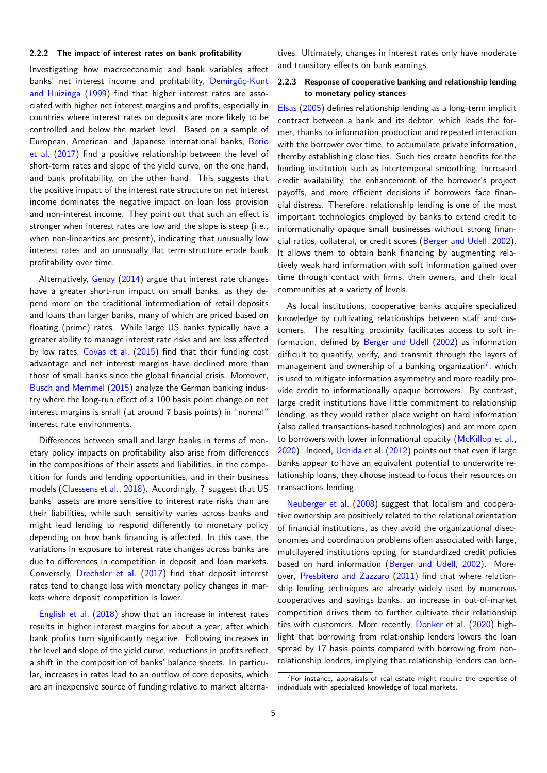#### **2.2.2 The impact of interest rates on bank profitability**

<span id="page-4-0"></span>Investigating how macroeconomic and bank variables affect banks' net interest income and profitability, Demirgüç-Kunt and Huizinga (1999) find that higher interest rates are associated with higher net interest margins and profits, especially in countries where interest rates on deposits are more likely to be controlled and below the market level. Based [on a sample of](#page-19-13) [European, American](#page-19-13), and Japanese international banks, Borio et al. (2017) find a positive relationship between the level of short-term rates and slope of the yield curve, on the one hand, and bank profitability, on the other hand. This suggests that the positive impact of the interest rate structure on net in[terest](#page-18-19) [incom](#page-18-19)e [dom](#page-18-19)inates the negative impact on loan loss provision and non-interest income. They point out that such an effect is stronger when interest rates are low and the slope is steep (i.e., when non-linearities are present), indicating that unusually low interest rates and an unusually flat term structure erode bank profitability over time.

Alternatively, Genay (2014) argue that interest rate changes have a greater short-run impact on small banks, as they depend more on the traditional intermediation of retail deposits and loans than larger banks, many of which are priced based on floating (prime) [rates. While](#page-19-14) large US banks typically have a greater ability to manage interest rate risks and are less affected by low rates, Covas et al. (2015) find that their funding cost advantage and net interest margins have declined more than those of small banks since the global financial crisis. Moreover, Busch and Memmel (2015) analyze the German banking industry where the [long-run effe](#page-18-20)c[t of a](#page-18-20) 100 basis point change on net interest margins is small (at around 7 basis points) in "normal" interest rate environments.

[Differences betwe](#page-18-21)e[n sma](#page-18-21)ll and large banks in terms of monetary policy impacts on profitability also arise from differences in the compositions of their assets and liabilities, in the competition for funds and lending opportunities, and in their business models (Claessens et al., 2018). Accordingly, **?** suggest that US banks' assets are more sensitive to interest rate risks than are their liabilities, while such sensitivity varies across banks and might lead lending to respond differently to monetary policy dependi[ng on how bank finan](#page-18-1)cing is affected. In this case, the variations in exposure to interest rate changes across banks are due to differences in competition in deposit and loan markets. Conversely, Drechsler et al. (2017) find that deposit interest rates tend to change less with monetary policy changes in markets where deposit competition is lower.

English et al. [\(2018\) show that a](#page-19-15)n increase in interest rates results in higher interest margins for about a year, after which bank profits turn significantly negative. Following increases in the level and slope of the yield curve, reductions in profits reflect a [shift in the composit](#page-19-16)ion of banks' balance sheets. In particular, increases in rates lead to an outflow of core deposits, which are an inexpensive source of funding relative to market alternatives. Ultimately, changes in interest rates only have moderate and transitory effects on bank earnings.

### **2.2.3 Response of cooperative banking and relationship lending to monetary policy stances**

<span id="page-4-1"></span>Elsas (2005) defines relationship lending as a long-term implicit contract between a bank and its debtor, which leads the former, thanks to information production and repeated interaction with the borrower over time, to accumulate private information, [there](#page-19-0)b[y esta](#page-19-0)blishing close ties. Such ties create benefits for the lending institution such as intertemporal smoothing, increased credit availability, the enhancement of the borrower's project payoffs, and more efficient decisions if borrowers face financial distress. Therefore, relationship lending is one of the most important technologies employed by banks to extend credit to informationally opaque small businesses without strong financial ratios, collateral, or credit scores (Berger and Udell, 2002). It allows them to obtain bank financing by augmenting relatively weak hard information with soft information gained over time through contact with firms, thei[r owners, and the](#page-18-3)i[r loca](#page-18-3)l communities at a variety of levels.

As local institutions, cooperative banks acquire specialized knowledge by cultivating relationships between staff and customers. The resulting proximity facilitates access to soft information, defined by Berger and Udell (2002) as information difficult to quantify, verify, and transmit through the layers of management and ownership of a banking organization<sup>7</sup>, which is used to mitigate information asymmetry and more readily provide credit to informa[tionally opaque b](#page-18-3)o[rrower](#page-18-3)s. By contrast, large credit institutions have little commitment to relationship lending, as they would rather place weight on hard inf[or](#page-4-2)mation (also called transactions-based technologies) and are more open to borrowers with lower informational opacity (McKillop et al., 2020). Indeed, Uchida et al. (2012) points out that even if large banks appear to have an equivalent potential to underwrite relationship loans, they choose instead to focus t[heir resources on](#page-19-5) [trans](#page-19-5)actions lending.

Neuberger et al. [\(2008\) suggest](#page-20-6) that localism and cooperative ownership are positively related to the relational orientation of financial institutions, as they avoid the organizational diseconomies and coordination problems often associated with large, m[ultilayered institu](#page-20-7)ti[ons o](#page-20-7)pting for standardized credit policies based on hard information (Berger and Udell, 2002). Moreover, Presbitero and Zazzaro (2011) find that where relationship lending techniques are already widely used by numerous cooperatives and savings banks, an increase in out-of-market competition drives them to [further cultivate their rel](#page-18-3)ationship ties w[ith customers. More rec](#page-20-8)e[ntly,](#page-20-8) Donker et al. (2020) highlight that borrowing from relationship lenders lowers the loan spread by 17 basis points compared with borrowing from nonrelationship lenders, implying that re[lationship len](#page-19-17)d[ers ca](#page-19-17)n ben-

<span id="page-4-2"></span> $7$ For instance, appraisals of real estate might require the expertise of individuals with specialized knowledge of local markets.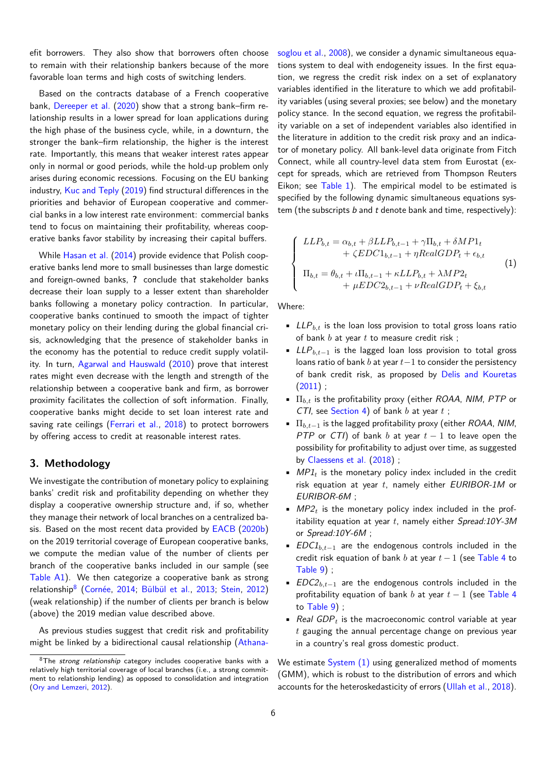efit borrowers. They also show that borrowers often choose to remain with their relationship bankers because of the more favorable loan terms and high costs of switching lenders.

Based on the contracts database of a French cooperative bank, Dereeper et al. (2020) show that a strong bank–firm relationship results in a lower spread for loan applications during the high phase of the business cycle, while, in a downturn, the stronger the bank–firm relationship, the higher is the interest rate. [Importantly, thi](#page-19-18)s [mean](#page-19-18)s that weaker interest rates appear only in normal or good periods, while the hold-up problem only arises during economic recessions. Focusing on the EU banking industry, Kuc and Teply (2019) find structural differences in the priorities and behavior of European cooperative and commercial banks in a low interest rate environment: commercial banks tend to focus on maintaining their profitability, whereas cooperative b[anks favor stab](#page-19-19)i[lity by](#page-19-19) increasing their capital buffers.

While Hasan et al. (2014) provide evidence that Polish cooperative banks lend more to small businesses than large domestic and foreign-owned banks, **?** conclude that stakeholder banks decrease their loan supply to a lesser extent than shareholder banks fo[llowing a m](#page-19-20)o[netary](#page-19-20) policy contraction. In particular, cooperative banks continued to smooth the impact of tighter monetary policy on their lending during the global financial crisis, acknowledging that the presence of stakeholder banks in the economy has the potential to reduce credit supply volatility. In turn, Agarwal and Hauswald (2010) prove that interest rates might even decrease with the length and strength of the relationship between a cooperative bank and firm, as borrower proximity facilitates the collection of soft information. Finally, cooperative [banks might decide to](#page-18-11) s[et loa](#page-18-11)n interest rate and saving rate ceilings (Ferrari et al., 2018) to protect borrowers by offering access to credit at reasonable interest rates.

# **3. Methodolog[y](#page-19-21)**

<span id="page-5-0"></span>We investigate the contribution of monetary policy to explaining banks' credit risk and profitability depending on whether they display a cooperative ownership structure and, if so, whether they manage their network of local branches on a centralized basis. Based on the most recent data provided by EACB (2020b) on the 2019 territorial coverage of European cooperative banks, we compute the median value of the number of clients per branch of the cooperative banks included in our sample (see Table A1). We then categorize a cooperative [bank a](#page-19-2)s [strong](#page-19-2) relationship<sup>8</sup> (Cornée, 2014; Bülbül et al., 2013; Stein, 2012) (weak relationship) if the number of clients per branch is below [\(above\) t](#page-17-0)he 2019 median value described above.

As previ[ou](#page-5-1)s [studies sugge](#page-18-22)s[t that credit](#page-18-23) ri[sk an](#page-18-23)[d profi](#page-20-9)t[ability](#page-20-9) might be linked by a bidirectional causal relationship (Athanasoglou et al., 2008), we consider a dynamic simultaneous equations system to deal with endogeneity issues. In the first equation, we regress the credit risk index on a set of explanatory variables identified in the literature to which we add profitability variables ([using](#page-18-2) several proxies; see below) and the monetary policy stance. In the second equation, we regress the profitability variable on a set of independent variables also identified in the literature in addition to the credit risk proxy and an indicator of monetary policy. All bank-level data originate from Fitch Connect, while all country-level data stem from Eurostat (except for spreads, which are retrieved from Thompson Reuters Eikon; see Table 1). The empirical model to be estimated is specified by the following dynamic simultaneous equations system (the subscripts *b* and *t* denote bank and time, respectively):

<span id="page-5-2"></span>
$$
\begin{cases}\nLLP_{b,t} = \alpha_{b,t} + \beta LLP_{b,t-1} + \gamma \Pi_{b,t} + \delta MP1_t \\
+ \zeta EDC1_{b,t-1} + \eta RealGDP_t + \epsilon_{b,t} \\
\Pi_{b,t} = \theta_{b,t} + \iota \Pi_{b,t-1} + \kappa LLP_{b,t} + \lambda MP2_t \\
+ \mu EDC2_{b,t-1} + \nu RealGDP_t + \xi_{b,t}\n\end{cases} (1)
$$

Where:

- *LLPb,t* is the loan loss provision to total gross loans ratio of bank *b* at year *t* to measure credit risk ;
- *LLP*<sub>*b*,*t*-1</sub> is the lagged loan loss provision to total gross loans ratio of bank *b* at year *t−*1 to consider the persistency of bank credit risk, as proposed by Delis and Kouretas  $(2011)$ ;
- Π*b,t* is the profitability proxy (either *ROAA*, *NIM*, *PTP* or *CTI*, see Section 4) of bank *b* at year *t* ;
- Π*b,t−*<sup>1</sup> is the lagged profitability proxy (either *[ROAA](#page-19-12)*, *NIM*, *[PTP](#page-19-12)* or *CTI*) of bank *b* at year *t −* 1 to leave open the possibility for profitability to adjust over time, as suggested by Claes[sens et al.](#page-6-0) (2018) ;
- *MP1*<sup>*t*</sup> is the monetary policy index included in the credit risk equation at year *t*, namely either *EURIBOR-1M* or *EURIBOR-6M* ;
- *MP2<sup>t</sup>* [is the mone](#page-18-1)t[ary p](#page-18-1)olicy index included in the profitability equation at year *t*, namely either *Spread:10Y-3M* or *Spread:10Y-6M* ;
- *EDC1<sub>b,t-1</sub>* are the endogenous controls included in the credit risk equation of bank *b* at year *t −* 1 (see Table 4 to Table 9) ;
- *EDC2*<sub>*b,t*-1</sub> are the endogenous controls included in the profitability equation of bank *b* at year *t −* 1 (see [Table](#page-10-0) 4 to Table 9) ;
- *[Real GD](#page-15-0)P<sup>t</sup>* is the macroeconomic control variable at year *t* gauging the annual percentage change on previ[ous year](#page-10-0) in [a countr](#page-15-0)y's real gross domestic product.

We estimate System (1) using generalized method of moments (GMM), which is robust to the distribution of errors and which accounts for the heteroskedasticity of errors (Ullah et al., 2018).

<span id="page-5-1"></span><sup>8</sup>The *strong relationship* category includes cooperative banks with a relatively high territorial coverage of local branches (i.e., a strong commitment to relationship lending) as opposed to consolidation and i[ntegration](#page-18-2) (Ory and Lemzeri, 2012).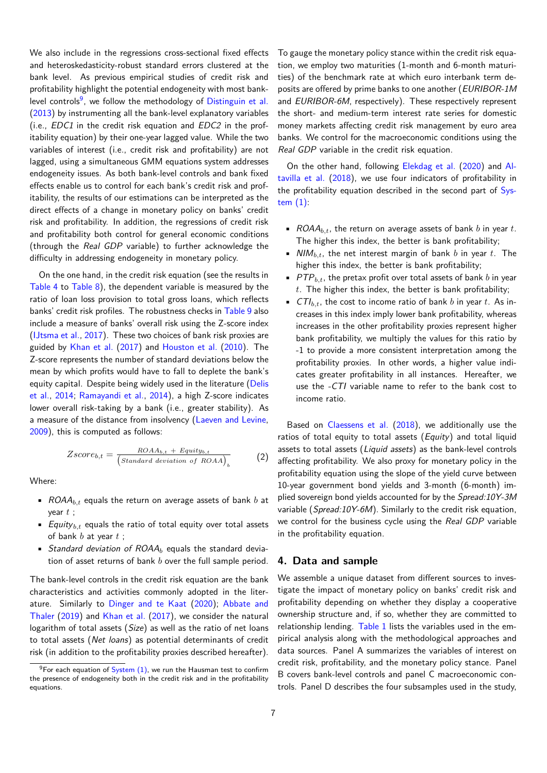We also include in the regressions cross-sectional fixed effects and heteroskedasticity-robust standard errors clustered at the bank level. As previous empirical studies of credit risk and profitability highlight the potential endogeneity with most banklevel controls<sup>9</sup>, we follow the methodology of Distinguin et al. (2013) by instrumenting all the bank-level explanatory variables (i.e., *EDC1* in the credit risk equation and *EDC2* in the profitability equation) by their one-year lagged value. While the two variables of i[n](#page-6-1)terest (i.e., credit risk and pro[fitability\) are not](#page-19-22) l[agged](#page-19-22), using a simultaneous GMM equations system addresses endogeneity issues. As both bank-level controls and bank fixed effects enable us to control for each bank's credit risk and profitability, the results of our estimations can be interpreted as the direct effects of a change in monetary policy on banks' credit risk and profitability. In addition, the regressions of credit risk and profitability both control for general economic conditions (through the *Real GDP* variable) to further acknowledge the difficulty in addressing endogeneity in monetary policy.

On the one hand, in the credit risk equation (see the results in Table 4 to Table 8), the dependent variable is measured by the ratio of loan loss provision to total gross loans, which reflects banks' credit risk profiles. The robustness checks in Table 9 also include a measure of banks' overall risk using the Z-score index [\(IJtsma](#page-10-0) et al., [2017](#page-14-0)). These two choices of bank risk proxies are guided by Khan et al. (2017) and Houston et al. (2010). The Z-score represents the number of standard deviatio[ns below](#page-15-0) the mean by which profits would have to fall to deplete the bank's [equity capital](#page-19-23). [Desp](#page-19-23)ite being widely used in the literature (Delis et al., 2014; [Ramayan](#page-19-24)d[i et a](#page-19-24)l., 20[14\), a high Z-score ind](#page-19-25)icates lower overall risk-taking by a bank (i.e., greater stability). As a measure of the distance from insolvency (Laeven and L[evine,](#page-19-26) [2009\)](#page-19-26), [this](#page-19-26) i[s computed as follows:](#page-20-10)

<span id="page-6-2"></span>
$$
Zscore_{b,t} = \frac{ROAA_{b,t} + \text{Equity}_{b,t}}{\left(Standard\ deviation\ of\ ROAA\right)_b} \tag{2}
$$

[Wher](#page-19-27)e:

- *ROAAb,t* equals the return on average assets of bank *b* at year *t* ;
- *Equityb,t* equals the ratio of total equity over total assets of bank *b* at year *t* ;
- *Standard deviation of ROAA<sup>b</sup>* equals the standard deviation of asset returns of bank *b* over the full sample period.

The bank-level controls in the credit risk equation are the bank characteristics and activities commonly adopted in the literature. Similarly to Dinger and te Kaat (2020); Abbate and Thaler (2019) and Khan et al. (2017), we consider the natural logarithm of total assets (*Size*) as well as the ratio of net loans to total assets (*Net loans*) as potential determinants of credit [risk \(in additi](#page-18-24)on to [t](#page-19-24)[he profitability proxies](#page-19-28) [describ](#page-19-28)e[d hereafter\).](#page-18-24)

To gauge the monetary policy stance within the credit risk equation, we employ two maturities (1-month and 6-month maturities) of the benchmark rate at which euro interbank term deposits are offered by prime banks to one another (*EURIBOR-1M* and *EURIBOR-6M*, respectively). These respectively represent the short- and medium-term interest rate series for domestic money markets affecting credit risk management by euro area banks. We control for the macroeconomic conditions using the *Real GDP* variable in the credit risk equation.

On the other hand, following Elekdag et al. (2020) and Altavilla et al. (2018), we use four indicators of profitability in the profitability equation described in the second part of System  $(1)$ :

- *[ROAA](#page-18-8)b,t*, [the r](#page-18-8)eturn on average assets of bank *b* in y[ear](#page-5-2) *t*. The higher this index, the better is bank profitability;
- *[NIM](#page-5-2)b,t*, the net interest margin of bank *b* in year *t*. The higher this index, the better is bank profitability;
- **•**  $PTP_{b,t}$ , the pretax profit over total assets of bank  $b$  in year *t*. The higher this index, the better is bank profitability;
- $CTI_{b,t}$ , the cost to income ratio of bank *b* in year *t*. As increases in this index imply lower bank profitability, whereas increases in the other profitability proxies represent higher bank profitability, we multiply the values for this ratio by -1 to provide a more consistent interpretation among the profitability proxies. In other words, a higher value indicates greater profitability in all instances. Hereafter, we use the *-CTI* variable name to refer to the bank cost to income ratio.

Based on Claessens et al. (2018), we additionally use the ratios of total equity to total assets (*Equity*) and total liquid assets to total assets (*Liquid assets*) as the bank-level controls affecting profitability. We also proxy for monetary policy in the profitability e[quation using th](#page-18-1)e [slope](#page-18-1) of the yield curve between 10-year government bond yields and 3-month (6-month) implied sovereign bond yields accounted for by the *Spread:10Y-3M* variable (*Spread:10Y-6M*). Similarly to the credit risk equation, we control for the business cycle using the *Real GDP* variable in the profitability equation.

### **4. Data and sample**

<span id="page-6-0"></span>We assemble a unique dataset from different sources to investigate the impact of monetary policy on banks' credit risk and profitability depending on whether they display a cooperative ownership structure and, if so, whether they are committed to relationship lending. Table 1 lists the variables used in the empirical analysis along with the methodological approaches and data sources. Panel A summarizes the variables of interest on credit risk, profitability, and the monetary policy stance. Panel B covers bank-level [controls](#page-7-0) and panel C macroeconomic controls. Panel D describes the four subsamples used in the study,

<span id="page-6-1"></span> $9$ For each equation of System  $(1)$ , we run the Hausman test to confirm the presence of endogeneity both in the credit risk and in the profitability equations.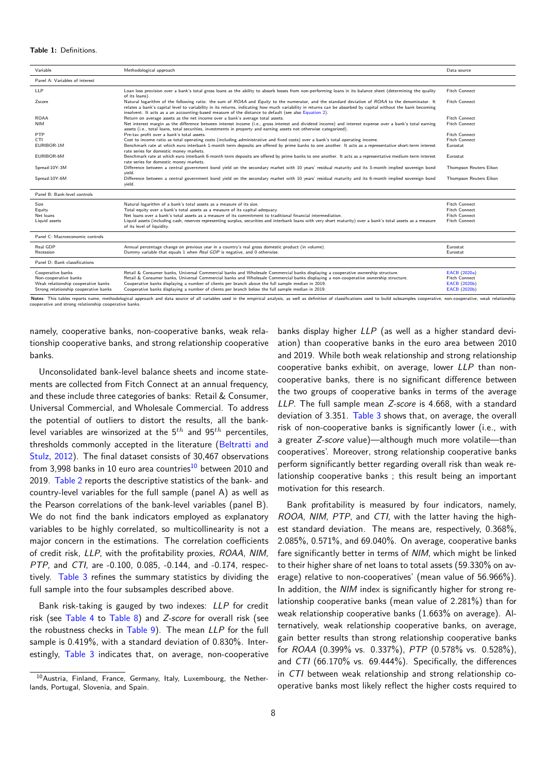#### **Table 1:** Definitions.

<span id="page-7-0"></span>

| Variable                                                                                                                   | Methodological approach                                                                                                                                                                                                                                                                                                                                                                                                                                                            | Data source                                                                                  |
|----------------------------------------------------------------------------------------------------------------------------|------------------------------------------------------------------------------------------------------------------------------------------------------------------------------------------------------------------------------------------------------------------------------------------------------------------------------------------------------------------------------------------------------------------------------------------------------------------------------------|----------------------------------------------------------------------------------------------|
| Panel A: Variables of interest                                                                                             |                                                                                                                                                                                                                                                                                                                                                                                                                                                                                    |                                                                                              |
| LLP                                                                                                                        | Loan loss provision over a bank's total gross loans as the ability to absorb losses from non-performing loans in its balance sheet (determining the quality<br>of its loans).                                                                                                                                                                                                                                                                                                      | <b>Fitch Connect</b>                                                                         |
| Zscore                                                                                                                     | Natural logarithm of the following ratio: the sum of ROAA and Equity to the numerator, and the standard deviation of ROAA to the denominator. It<br>relates a bank's capital level to variability in its returns, indicating how much variability in returns can be absorbed by capital without the bank becoming<br>insolvent. It acts as a an accounting-based measure of the distance to default (see also Equation 2).                                                         | <b>Fitch Connect</b>                                                                         |
| <b>ROAA</b>                                                                                                                | Return on average assets as the net income over a bank's average total assets.                                                                                                                                                                                                                                                                                                                                                                                                     | <b>Fitch Connect</b>                                                                         |
| <b>NIM</b>                                                                                                                 | Net interest margin as the difference between interest income (i.e., gross interest and dividend income) and interest expense over a bank's total earning<br>assets (i.e., total loans, total securities, investments in property and earning assets not otherwise categorized).                                                                                                                                                                                                   | <b>Fitch Connect</b>                                                                         |
| PTP                                                                                                                        | Pre-tax profit over a bank's total assets.                                                                                                                                                                                                                                                                                                                                                                                                                                         | <b>Fitch Connect</b>                                                                         |
| <b>CTI</b>                                                                                                                 | Cost to income ratio as total operating costs (including administrative and fixed costs) over a bank's total operating income.                                                                                                                                                                                                                                                                                                                                                     | <b>Fitch Connect</b>                                                                         |
| EURIBOR-1M                                                                                                                 | Benchmark rate at which euro interbank 1-month term deposits are offered by prime banks to one another. It acts as a representative short-term interest<br>rate series for domestic money markets.                                                                                                                                                                                                                                                                                 | Eurostat                                                                                     |
| EURIBOR-6M                                                                                                                 | Benchmark rate at which euro interbank 6-month term deposits are offered by prime banks to one another. It acts as a representative medium-term interest<br>rate series for domestic money markets.                                                                                                                                                                                                                                                                                | Eurostat                                                                                     |
| Spread: 10Y-3M                                                                                                             | Difference between a central government bond yield on the secondary market with 10 years' residual maturity and its 3-month implied sovereign bond<br>yield.                                                                                                                                                                                                                                                                                                                       | Thompson Reuters Eikon                                                                       |
| Spread: 10Y-6M                                                                                                             | Difference between a central government bond yield on the secondary market with 10 years' residual maturity and its 6-month implied sovereign bond<br>yield.                                                                                                                                                                                                                                                                                                                       | Thompson Reuters Eikon                                                                       |
| Panel B: Bank-level controls                                                                                               |                                                                                                                                                                                                                                                                                                                                                                                                                                                                                    |                                                                                              |
| Size<br>Equity<br>Net loans<br>Liquid assets                                                                               | Natural logarithm of a bank's total assets as a measure of its size.<br>Total equity over a bank's total assets as a measure of its capital adequacy.<br>Net loans over a bank's total assets as a measure of its commitment to traditional financial intermediation.<br>Liquid assets (including cash, reserves representing surplus, securities and interbank loans with very short maturity) over a bank's total assets as a measure<br>of its level of liquidity.              | <b>Fitch Connect</b><br><b>Fitch Connect</b><br><b>Fitch Connect</b><br><b>Fitch Connect</b> |
| Panel C: Macroeconomic controls                                                                                            |                                                                                                                                                                                                                                                                                                                                                                                                                                                                                    |                                                                                              |
| Real GDP<br>Recession                                                                                                      | Annual percentage change on previous year in a country's real gross domestic product (in volume).<br>Dummy variable that equals 1 when Real GDP is negative, and 0 otherwise.                                                                                                                                                                                                                                                                                                      | Eurostat<br>Eurostat                                                                         |
| Panel D: Bank classifications                                                                                              |                                                                                                                                                                                                                                                                                                                                                                                                                                                                                    |                                                                                              |
| Cooperative banks<br>Non-cooperative banks<br>Weak relationship cooperative banks<br>Strong relationship cooperative banks | Retail & Consumer banks, Universal Commercial banks and Wholesale Commercial banks displaying a cooperative ownership structure.<br>Retail & Consumer banks, Universal Commercial banks and Wholesale Commercial banks displaying a non-cooperative ownership structure.<br>Cooperative banks displaying a number of clients per branch above the full sample median in 2019.<br>Cooperative banks displaying a number of clients per branch below the full sample median in 2019. | EACB (2020a)<br>Fitch Connect<br><b>EACB</b> (2020b)<br>EACB (2020b)                         |
|                                                                                                                            | Notes: This tables reports name, methodological approach and data source of all variables used in the empirical analysis, as well as definition of classifications used to build subsamples cooperative, non-cooperative, weak                                                                                                                                                                                                                                                     |                                                                                              |

rative and strong relationship cooperative banks

namely, cooperative banks, non-cooperative banks, weak relationship cooperative banks, and strong relationship cooperative banks.

Unconsolidated bank-level balance sheets and income statements are collected from Fitch Connect at an annual frequency, and these include three categories of banks: Retail & Consumer, Universal Commercial, and Wholesale Commercial. To address the potential of outliers to distort the results, all the banklevel variables are winsorized at the 5*th* and 95*th* percentiles, thresholds commonly accepted in the literature (Beltratti and Stulz, 2012). The final dataset consists of 30,467 observations from 3,998 banks in 10 euro area countries $10$  between 2010 and 2019. Table 2 reports the descriptive statistics of the bank- and country-level variables for the full sample (panel [A\) as well as](#page-18-25) [the Pearson](#page-18-25) correlations of the bank-level variables (panel B). We do not find the bank indicators emp[loy](#page-7-1)ed as explanatory variab[les to b](#page-8-0)e highly correlated, so multicollinearity is not a major concern in the estimations. The correlation coefficients of credit risk, *LLP*, with the profitability proxies, *ROAA*, *NIM*, *PTP*, and *CTI*, are -0.100, 0.085, -0.144, and -0.174, respectively. Table 3 refines the summary statistics by dividing the full sample into the four subsamples described above.

Bank risk-taking is gauged by two indexes: *LLP* for credit risk (see [Table](#page-9-1) 4 to Table 8) and *Z-score* for overall risk (see the robustness checks in Table 9). The mean *LLP* for the full sample is 0.419%, with a standard deviation of 0.830%. Interestingly, [Table 3](#page-10-0) in[dicates t](#page-14-0)hat, on average, non-cooperative banks display higher *LLP* (as well as a hig[her stan](#page-19-2)dard deviation) than cooperative banks in the euro area between 2010 and 2019. While both weak relationship and strong relationship cooperative banks exhibit, on average, lower *LLP* than noncooperative banks, there is no significant difference between the two groups of cooperative banks in terms of the average *LLP*. The full sample mean *Z-score* is 4.668, with a standard deviation of 3.351. Table 3 shows that, on average, the overall risk of non-cooperative banks is significantly lower (i.e., with a greater *Z-score* value)—although much more volatile—than cooperatives'. Moreover, strong relationship cooperative banks perform significantl[y better](#page-9-1) regarding overall risk than weak relationship cooperative banks ; this result being an important motivation for this research.

Bank profitability is measured by four indicators, namely, *ROOA*, *NIM*, *PTP*, and *CTI*, with the latter having the highest standard deviation. The means are, respectively, 0.368%, 2.085%, 0.571%, and 69.040%. On average, cooperative banks fare significantly better in terms of *NIM*, which might be linked to their higher share of net loans to total assets (59.330% on average) relative to non-cooperatives' (mean value of 56.966%). In addition, the *NIM* index is significantly higher for strong relationship cooperative banks (mean value of 2.281%) than for weak relationship cooperative banks (1.663% on average). Alternatively, weak relationship cooperative banks, on average, gain better results than strong relationship cooperative banks for *ROAA* (0.399% vs. 0.337%), *PTP* (0.578% vs. 0.528%), and *CTI* (66.170% vs. 69.444%). Specifically, the differences in *CTI* between weak relationship and strong relationship cooperative banks most likely reflect the higher costs required to

<span id="page-7-1"></span><sup>&</sup>lt;sup>10</sup> Austria, Finland, France, [Germany](#page-15-0), Italy, Luxembourg, the Netherlands, Portugal, Slovenia, and Spain.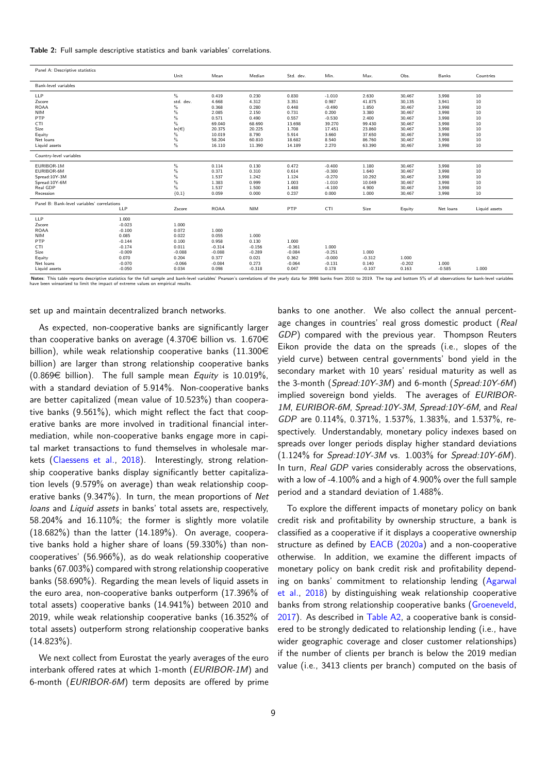**Table 2:** Full sample descriptive statistics and bank variables' correlations.

<span id="page-8-0"></span>

| Panel A: Descriptive statistics             |          |           |             |            |           |          |          |          |           |               |
|---------------------------------------------|----------|-----------|-------------|------------|-----------|----------|----------|----------|-----------|---------------|
|                                             |          | Unit      | Mean        | Median     | Std. dev. | Min.     | Max.     | Obs.     | Banks     | Countries     |
| Bank-level variables                        |          |           |             |            |           |          |          |          |           |               |
| <b>LLP</b>                                  |          | $\%$      | 0.419       | 0.230      | 0.830     | $-1.010$ | 2.630    | 30,467   | 3,998     | 10            |
| Zscore                                      |          | std. dev. | 4.668       | 4.312      | 3.351     | 0.987    | 41.875   | 30,135   | 3,941     | 10            |
| <b>ROAA</b>                                 |          | %         | 0.368       | 0.280      | 0.448     | $-0.490$ | 1.850    | 30,467   | 3,998     | 10            |
| <b>NIM</b>                                  |          | $\%$      | 2.085       | 2.150      | 0.731     | 0.200    | 3.380    | 30,467   | 3,998     | 10            |
| PTP                                         |          | $\%$      | 0.571       | 0.490      | 0.557     | $-0.530$ | 2.400    | 30,467   | 3,998     | 10            |
| <b>CTI</b>                                  |          | $\%$      | 69.040      | 68.690     | 13.698    | 39.270   | 99.430   | 30,467   | 3,998     | 10            |
| Size                                        |          | $ln(\in)$ | 20.375      | 20.225     | 1.708     | 17.451   | 23.860   | 30,467   | 3,998     | 10            |
| Equity                                      |          | %         | 10.019      | 8.790      | 5.914     | 3.660    | 37.650   | 30,467   | 3,998     | 10            |
| Net loans                                   |          | $\%$      | 58.204      | 60.810     | 18.682    | 8.540    | 86.760   | 30,467   | 3,998     | 10            |
| Liquid assets                               |          | $\%$      | 16.110      | 11.390     | 14.189    | 2.270    | 63.390   | 30,467   | 3,998     | 10            |
| Country-level variables                     |          |           |             |            |           |          |          |          |           |               |
| EURIBOR-1M                                  |          | %         | 0.114       | 0.130      | 0.472     | $-0.400$ | 1.180    | 30,467   | 3,998     | 10            |
| EURIBOR-6M                                  |          | $\%$      | 0.371       | 0.310      | 0.614     | $-0.300$ | 1.640    | 30,467   | 3,998     | 10            |
| Spread:10Y-3M                               |          | $\%$      | 1.537       | 1.242      | 1.124     | $-0.270$ | 10.292   | 30,467   | 3,998     | 10            |
| Spread:10Y-6M                               |          | $\%$      | 1.383       | 0.999      | 1.003     | $-1.010$ | 10.049   | 30,467   | 3,998     | 10            |
| Real GDP                                    |          | $\%$      | 1.537       | 1.500      | 1.488     | $-4.100$ | 4.900    | 30,467   | 3,998     | 10            |
| Recession                                   |          | ${0,1}$   | 0.059       | 0.000      | 0.237     | 0.000    | 1.000    | 30,467   | 3,998     | 10            |
| Panel B: Bank-level variables' correlations |          |           |             |            |           |          |          |          |           |               |
|                                             | LLP      | Zscore    | <b>ROAA</b> | <b>NIM</b> | PTP       | CTI      | Size     | Equity   | Net loans | Liquid assets |
| <b>LLP</b>                                  | 1.000    |           |             |            |           |          |          |          |           |               |
| Zscore                                      | $-0.023$ | 1.000     |             |            |           |          |          |          |           |               |
| <b>ROAA</b>                                 | $-0.100$ | 0.072     | 1.000       |            |           |          |          |          |           |               |
| <b>NIM</b>                                  | 0.085    | 0.022     | 0.055       | 1.000      |           |          |          |          |           |               |
| PTP                                         | $-0.144$ | 0.100     | 0.958       | 0.130      | 1.000     |          |          |          |           |               |
| <b>CTI</b>                                  | $-0.174$ | 0.011     | $-0.314$    | $-0.156$   | $-0.361$  | 1.000    |          |          |           |               |
| Size                                        | $-0.009$ | $-0.088$  | $-0.088$    | $-0.289$   | $-0.084$  | $-0.251$ | 1.000    |          |           |               |
| Equity                                      | 0.070    | 0.204     | 0.377       | 0.021      | 0.362     | $-0.000$ | $-0.312$ | 1.000    |           |               |
| Net loans                                   | $-0.070$ | $-0.066$  | $-0.084$    | 0.273      | $-0.064$  | $-0.131$ | 0.140    | $-0.202$ | 1.000     |               |
| Liquid assets                               | $-0.050$ | 0.034     | 0.098       | $-0.318$   | 0.047     | 0.178    | $-0.107$ | 0.163    | $-0.585$  | 1.000         |

Votes: This table reports descriptive statistics for the full sample and bank-level variables' Pearson's correlations of the yearly data for 3998 banks from 2010 to 2019. The top and bottom 5% of all observations for bankhave been winsorized to limit the impact of extreme values on empirical results.

set up and maintain decentralized branch networks.

As expected, non-cooperative banks are significantly larger than cooperative banks on average (4.370 $\in$  billion vs. 1.670 $\in$ billion), while weak relationship cooperative banks  $(11.300\epsilon)$ billion) are larger than strong relationship cooperative banks  $(0.869 \in$  billion). The full sample mean *Equity* is 10.019%. with a standard deviation of 5.914%. Non-cooperative banks are better capitalized (mean value of 10.523%) than cooperative banks (9.561%), which might reflect the fact that cooperative banks are more involved in traditional financial intermediation, while non-cooperative banks engage more in capital market transactions to fund themselves in wholesale markets (Claessens et al., 2018). Interestingly, strong relationship cooperative banks display significantly better capitalization levels (9.579% on average) than weak relationship cooperative banks (9.347%). In turn, the mean proportions of *Net loans* and *[Liquid asset](#page-18-1)s* [in ba](#page-18-1)nks' total assets are, respectively, 58.204% and 16.110%; the former is slightly more volatile  $(18.682\%)$  than the latter  $(14.189\%)$ . On average, cooperative banks hold a higher share of loans (59.330%) than noncooperatives' (56.966%), as do weak relationship cooperative banks (67.003%) compared with strong relationship cooperative banks (58.690%). Regarding the mean levels of liquid assets in the euro area, non-cooperative banks outperform (17.396% of total assets) cooperative banks (14.941%) between 2010 and 2019, while weak relationship cooperative banks (16.352% of total assets) outperform strong relationship cooperative banks  $(14.823\%)$ .

We next collect from Eurostat the yearly averages of the euro interbank offered rates at which 1-month (*EURIBOR-1M*) and 6-month (*EURIBOR-6M*) term deposits are offered by prime banks to one another. We also collect the annual percentage changes in countries' real gross domestic product (*Real GDP*) compared with the previous year. Thompson Reuters Eikon provide the data on the spreads (i.e., slopes of the yield curve) between central governments' bond yield in the secondary market with 10 years' residual maturity as well as the 3-month (*Spread:10Y-3M*) and 6-month (*Spread:10Y-6M*) implied sovereign bond yields. The averages of *EURIBOR-1M*, *EURIBOR-6M*, *Spread:10Y-3M*, *Spread:10Y-6M*, and *Real GDP* are 0.114%, 0.371%, 1.537%, 1.383%, and 1.537%, respectively. Understandably, monetary policy indexes based on spreads over longer periods display higher standard deviations (1.124% for *Spread:10Y-3M* vs. 1.003% for *Spread:10Y-6M*). In turn, *Real GDP* varies considerably across the observations, with a low of -4.100% and a high of 4.900% over the full sample period and a standard deviation of 1.488%.

To explore the different impacts of monetary policy on bank credit risk and profitability by ownership structure, a bank is classified as a cooperative if it displays a cooperative ownership structure as defined by EACB (2020a) and a non-cooperative otherwise. In addition, we examine the different impacts of monetary policy on bank credit risk and profitability depending on banks' commitment to relationship lending (Agarwal et al., 2018) by distin[guishing weak](#page-19-1) relationship cooperative banks from strong relationship cooperative banks (Groeneveld, 2017). As described in Table A2, a cooperative bank is considered to be strongly dedicated to relationship lending (i[.e., have](#page-18-26) [wider](#page-18-26) [geogra](#page-18-26)phic coverage and closer customer relationships) if the number of clients per branch is below the 2[019 median](#page-19-29) [value](#page-19-29) (i.e., 3413 client[s per bran](#page-17-1)ch) computed on the basis of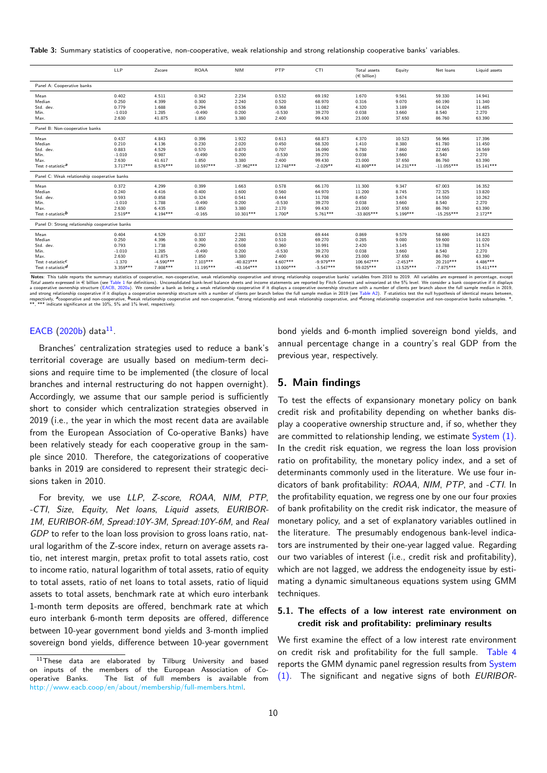**Table 3:** Summary statistics of cooperative, non-cooperative, weak relationship and strong relationship cooperative banks' variables.

<span id="page-9-1"></span>

|                                                                                                               | LLP                                                                    | Zscore                                                                | <b>ROAA</b>                                                             | <b>NIM</b>                                                                | PTP                                                                     | <b>CTI</b>                                                                   | Total assets<br>$(\in$ billion)                                       | Equity                                                                | Net loans                                                                 | Liquid assets                                                              |
|---------------------------------------------------------------------------------------------------------------|------------------------------------------------------------------------|-----------------------------------------------------------------------|-------------------------------------------------------------------------|---------------------------------------------------------------------------|-------------------------------------------------------------------------|------------------------------------------------------------------------------|-----------------------------------------------------------------------|-----------------------------------------------------------------------|---------------------------------------------------------------------------|----------------------------------------------------------------------------|
| Panel A: Cooperative banks                                                                                    |                                                                        |                                                                       |                                                                         |                                                                           |                                                                         |                                                                              |                                                                       |                                                                       |                                                                           |                                                                            |
| Mean<br>Median<br>Std. dev.<br>Min.<br>Max.                                                                   | 0.402<br>0.250<br>0.779<br>$-1.010$<br>2.630                           | 4.511<br>4.399<br>1.688<br>1.285<br>41.875                            | 0.342<br>0.300<br>0.294<br>$-0.490$<br>1.850                            | 2.234<br>2.240<br>0.536<br>0.200<br>3.380                                 | 0.532<br>0.520<br>0.368<br>$-0.530$<br>2.400                            | 69.192<br>68.970<br>11.082<br>39.270<br>99.430                               | 1.670<br>0.316<br>4.320<br>0.038<br>23.000                            | 9.561<br>9.070<br>3.189<br>3.660<br>37.650                            | 59.330<br>60.190<br>14.024<br>8.540<br>86.760                             | 14.941<br>11.340<br>11.485<br>2.270<br>63.390                              |
| Panel B: Non-cooperative banks                                                                                |                                                                        |                                                                       |                                                                         |                                                                           |                                                                         |                                                                              |                                                                       |                                                                       |                                                                           |                                                                            |
| Mean<br>Median<br>Std. dev.<br>Min.<br>Max.<br>Test t-statistic <sup>a</sup>                                  | 0.437<br>0.210<br>0.883<br>$-1.010$<br>2.630<br>$3.717***$             | 4.843<br>4.136<br>4.529<br>0.987<br>41.617<br>$8.576***$              | 0.396<br>0.230<br>0.570<br>$-0.490$<br>1.850<br>10.597***               | 1.922<br>2.020<br>0.870<br>0.200<br>3.380<br>$-37.962***$                 | 0.613<br>0.450<br>0.707<br>$-0.530$<br>2.400<br>12.748***               | 68.873<br>68.320<br>16.090<br>39.270<br>99.430<br>$-2.029**$                 | 4.370<br>1.410<br>6.780<br>0.038<br>23.000<br>41.809***               | 10.523<br>8.380<br>7.860<br>3.660<br>37.650<br>14.231***              | 56.966<br>61.780<br>22.665<br>8.540<br>86.760<br>$-11.055***$             | 17.396<br>11.450<br>16.569<br>2.270<br>63.390<br>$15.141***$               |
| Panel C: Weak relationship cooperative banks                                                                  |                                                                        |                                                                       |                                                                         |                                                                           |                                                                         |                                                                              |                                                                       |                                                                       |                                                                           |                                                                            |
| Mean<br>Median<br>Std. dev.<br>Min.<br>Max.<br>Test t-statisticb                                              | 0.372<br>0.240<br>0.593<br>$-1.010$<br>2.630<br>$2.519**$              | 4.299<br>4.416<br>0.858<br>1.788<br>6.435<br>$4.194***$               | 0.399<br>0.400<br>0.324<br>$-0.490$<br>1.850<br>$-0.165$                | 1.663<br>1.600<br>0.541<br>0.200<br>3.380<br>10.301***                    | 0.578<br>0.560<br>0.444<br>$-0.530$<br>2.170<br>1.700*                  | 66.170<br>64.970<br>11.708<br>39.270<br>99.430<br>$5.761***$                 | 11.300<br>11.200<br>8.450<br>0.038<br>23.000<br>$-33.805***$          | 9.347<br>8.745<br>3.674<br>3.660<br>37.650<br>$5.199***$              | 67.003<br>72.325<br>14.550<br>8.540<br>86.760<br>$-15.255***$             | 16.352<br>13.820<br>10.262<br>2.270<br>63.390<br>2.172**                   |
| Panel D: Strong relationship cooperative banks                                                                |                                                                        |                                                                       |                                                                         |                                                                           |                                                                         |                                                                              |                                                                       |                                                                       |                                                                           |                                                                            |
| Mean<br>Median<br>Std. dev.<br>Min.<br>Max.<br>Test t-statistic <sup>C</sup><br>Test t-statistic <sup>d</sup> | 0.404<br>0.250<br>0.793<br>$-1.010$<br>2.630<br>$-1.370$<br>$3.359***$ | 4.529<br>4.396<br>1.738<br>1.285<br>41.875<br>$-4.590***$<br>7.808*** | 0.337<br>0.300<br>0.290<br>$-0.490$<br>1.850<br>$7.103***$<br>11.195*** | 2.281<br>2.280<br>0.508<br>0.200<br>3.380<br>$-40.823***$<br>$-43.164***$ | 0.528<br>0.510<br>0.360<br>$-0.530$<br>2.400<br>$4.607***$<br>13.000*** | 69.444<br>69.270<br>10.991<br>39.270<br>99.430<br>$-9.979***$<br>$-3.547***$ | 0.869<br>0.285<br>2.420<br>0.038<br>23.000<br>106.647***<br>59.025*** | 9.579<br>9.080<br>3.145<br>3.660<br>37.650<br>$-2.453**$<br>13.525*** | 58.690<br>59.600<br>13.788<br>8.540<br>86.760<br>20.210***<br>$-7.875***$ | 14.823<br>11.020<br>11.574<br>2.270<br>63.390<br>$4.486***$<br>$15.411***$ |

Notes: This table reports the summary statistics of cooperative, non-cooperative, weak relationship cooperative and strong relationship cooperative banks' variables from 2010 to 2019. All variables are expressed in ercenta Tot*al assets ex*pressed in € billion (see Table 1 for definitions). Unconsolidated bank-level balance sheets and income statements are reported by Fitch Connect and winsorized at the 5% level. We consider a bank cooperat tively. Pcooperative and non-cooperative, Dweak relationship cooperative and non-cooperative, strong relationship and weak relationship cooperative, and distrong relationship cooperative and non-cooperative banks subsample respectively, "cooperative and non-cooperative, the significance at the 10%, 5% and 1% level, respectively.<br>\*\*, \*\*\* indicate significance at the 10%, 5% and 1% level, respectively.

### EACB  $(2020b)$  d[a](#page-19-1)ta $^{11}$  $^{11}$  $^{11}$ .

Branches' centralization strategies used to reduce a bank's territorial coverage are usually based on medium-term deci[sions and requ](#page-19-2)ire ti[me](#page-9-2) to be implemented (the closure of local branches and internal restructuring do not happen overnight). Accordingly, we assume that our sample period is sufficiently short to consider which centralization strategies observed in 2019 (i.e., the year in which the most recent data are available from the European Association of Co-operative Banks) have been relatively steady for each cooperative group in the sample since 2010. Therefore, the categorizations of cooperative banks in 2019 are considered to represent their strategic decisions taken in 2010.

For brevity, we use *LLP*, *Z-score*, *ROAA*, *NIM*, *PTP*, *-CTI*, *Size*, *Equity*, *Net loans*, *Liquid assets*, *EURIBOR-1M*, *EURIBOR-6M*, *Spread:10Y-3M*, *Spread:10Y-6M*, and *Real GDP* to refer to the loan loss provision to gross loans ratio, natural logarithm of the Z-score index, return on average assets ratio, net interest margin, pretax profit to total assets ratio, cost to income ratio, natural logarithm of total assets, ratio of equity to total assets, ratio of net loans to total assets, ratio of liquid assets to total assets, benchmark rate at which euro interbank 1-month term deposits are offered, benchmark rate at which euro interbank 6-month term deposits are offered, difference between 10-year government bond yields and 3-month implied sovereign bond yields, difference between 10-year government bond yields and 6-month implied sovereign bond yields, and annual percentage c[hange](#page-17-1) in a country's real GDP from the previous year, respectively.

# **5. Main findings**

<span id="page-9-0"></span>To test the effects of expansionary monetary policy on bank credit risk and profitability depending on whether banks display a cooperative ownership structure and, if so, whether they are committed to relationship lending, we estimate  $S$ ystem  $(1)$ . In the credit risk equation, we regress the loan loss provision ratio on profitability, the monetary policy index, and a set of determinants commonly used in the literature. We use four indicators of bank profitability: *ROAA*, *NIM*, *PTP*, and *[-CTI](#page-5-2)*. In the profitability equation, we regress one by one our four proxies of bank profitability on the credit risk indicator, the measure of monetary policy, and a set of explanatory variables outlined in the literature. The presumably endogenous bank-level indicators are instrumented by their one-year lagged value. Regarding our two variables of interest (i.e., credit risk and profitability), which are not lagged, we address the endogeneity issue by estimating a dynamic simultaneous equations system using GMM techniques.

# **5.1. The effects of a low interest rate environment on credit risk and profitability: preliminary results**

We first examine the effect of a low interest rate environment on credit risk and profitability for the full sample. Table 4 reports the GMM dynamic panel regression results from System (1). The significant and negative signs of both *EURIBOR-*

<span id="page-9-2"></span> $11$ These data are elaborated by Tilburg University and based on inputs of the members of the European Association of Cooperative Banks. The list of full members is available from http://www.eacb.coop/en/about/membership/full-members.html.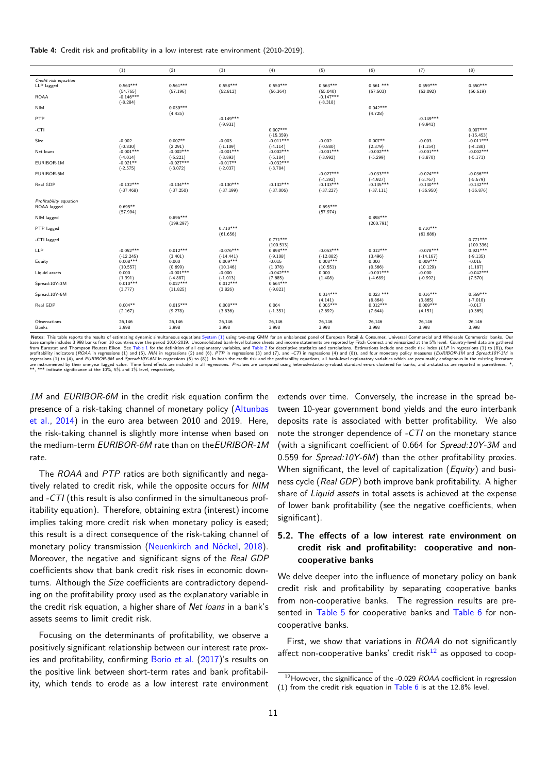**Table 4:** Credit risk and profitability in a low interest rate environment (2010-2019).

<span id="page-10-0"></span>

|                                                                                                                                                                                                                               | (1)                       | (2)                       | (3)                       | (4)                       | (5)                       | (6)              | (7)                       | (8)                    |
|-------------------------------------------------------------------------------------------------------------------------------------------------------------------------------------------------------------------------------|---------------------------|---------------------------|---------------------------|---------------------------|---------------------------|------------------|---------------------------|------------------------|
| Credit risk equation                                                                                                                                                                                                          |                           |                           |                           |                           |                           |                  |                           |                        |
| LLP lagged                                                                                                                                                                                                                    | $0.563***$                | $0.561***$                | $0.558***$                | $0.550***$                | $0.563***$                | $0.561$ ***      | $0.559***$                | $0.550***$             |
|                                                                                                                                                                                                                               | (54.765)                  | (57.196)                  | (52.812)                  | (56.364)                  | (55.040)                  | (57.503)         | (53.092)                  | (56.619)               |
| <b>ROAA</b>                                                                                                                                                                                                                   | $-0.146***$               |                           |                           |                           | $-0.147***$               |                  |                           |                        |
| <b>NIM</b>                                                                                                                                                                                                                    | $(-8.284)$                | $0.039***$                |                           |                           | $(-8.318)$                | $0.042***$       |                           |                        |
|                                                                                                                                                                                                                               |                           | (4.435)                   |                           |                           |                           | (4.728)          |                           |                        |
| PTP                                                                                                                                                                                                                           |                           |                           | $-0.149***$               |                           |                           |                  | $-0.149***$               |                        |
|                                                                                                                                                                                                                               |                           |                           | $(-9.931)$                |                           |                           |                  | $(-9.941)$                |                        |
| -CTI                                                                                                                                                                                                                          |                           |                           |                           | $0.007***$                |                           |                  |                           | $0.007***$             |
|                                                                                                                                                                                                                               |                           |                           |                           | $(-15.359)$               |                           |                  |                           | $(-15.453)$            |
| Size                                                                                                                                                                                                                          | $-0.002$                  | $0.007**$                 | $-0.003$                  | $-0.011***$               | $-0.002$                  | $0.007**$        | $-0.003$                  | $-0.011***$            |
|                                                                                                                                                                                                                               | $(-0.830)$                | (2.291)                   | $(-1.109)$                | $(-4.114)$                | $(-0.880)$                | (2.379)          | $(-1.154)$                | $(-4.180)$             |
| Net loans                                                                                                                                                                                                                     | $-0.001***$               | $-0.002***$               | $-0.001***$               | $-0.002***$               | $-0.001***$               | $-0.002***$      | $-0.001***$               | $-0.002***$            |
| EURIBOR-1M                                                                                                                                                                                                                    | $(-4.014)$<br>$-0.021**$  | $(-5.221)$<br>$-0.027***$ | $(-3.893)$<br>$-0.017**$  | $(-5.184)$<br>$-0.032***$ | $(-3.992)$                | $(-5.299)$       | $(-3.870)$                | $(-5.171)$             |
|                                                                                                                                                                                                                               | $(-2.575)$                | $(-3.072)$                | $(-2.037)$                | $(-3.784)$                |                           |                  |                           |                        |
| EURIBOR-6M                                                                                                                                                                                                                    |                           |                           |                           |                           | $-0.027***$               | $-0.033***$      | $-0.024***$               | $-0.036***$            |
|                                                                                                                                                                                                                               |                           |                           |                           |                           | $(-4.392)$                | $(-4.927)$       | $(-3.767)$                | $(-5.579)$             |
| Real GDP                                                                                                                                                                                                                      | $-0.132***$               | $-0.134***$               | $-0.130***$               | $-0.132***$               | $-0.133***$               | $-0.135***$      | $-0.130***$               | $-0.132***$            |
|                                                                                                                                                                                                                               | $(-37.468)$               | $(-37.250)$               | $(-37.199)$               | $(-37.006)$               | $(-37.227)$               | $(-37.111)$      | $(-36.950)$               | $(-36.876)$            |
|                                                                                                                                                                                                                               |                           |                           |                           |                           |                           |                  |                           |                        |
| Profitability equation                                                                                                                                                                                                        | $0.695**$                 |                           |                           |                           | $0.695***$                |                  |                           |                        |
| ROAA lagged                                                                                                                                                                                                                   | (57.994)                  |                           |                           |                           | (57.974)                  |                  |                           |                        |
| NIM lagged                                                                                                                                                                                                                    |                           | $0.896***$                |                           |                           |                           | $0.898***$       |                           |                        |
|                                                                                                                                                                                                                               |                           | (199.297)                 |                           |                           |                           | (200.791)        |                           |                        |
| PTP lagged                                                                                                                                                                                                                    |                           |                           | $0.710***$                |                           |                           |                  | $0.710***$                |                        |
|                                                                                                                                                                                                                               |                           |                           | (61.656)                  |                           |                           |                  | (61.686)                  |                        |
| -CTI lagged                                                                                                                                                                                                                   |                           |                           |                           | $0.771***$                |                           |                  |                           | $0.771***$             |
|                                                                                                                                                                                                                               |                           |                           |                           | (100.513)                 |                           |                  |                           | (100.336)              |
| LLP                                                                                                                                                                                                                           | $-0.052***$               | $0.012***$                | $-0.076***$               | $0.898***$                | $-0.053***$               | $0.012***$       | $-0.078***$               | $0.921***$             |
|                                                                                                                                                                                                                               | $(-12.245)$<br>$0.008***$ | (3.401)<br>0.000          | $(-14.441)$<br>$0.009***$ | $(-9.108)$<br>$-0.015$    | $(-12.082)$<br>$0.008***$ | (3.496)<br>0.000 | $(-14.167)$<br>$0.009***$ | $(-9.135)$<br>$-0.016$ |
| Equity                                                                                                                                                                                                                        | (10.557)                  | (0.699)                   | (10.146)                  | (1.076)                   | (10.551)                  | (0.566)          | (10.129)                  | (1.187)                |
| Liquid assets                                                                                                                                                                                                                 | 0.000                     | $-0.001***$               | $-0.000$                  | $-0.042***$               | 0.000                     | $-0.001***$      | $-0.000$                  | $-0.042***$            |
|                                                                                                                                                                                                                               | (1.391)                   | $(-4.887)$                | $(-1.013)$                | (7.685)                   | (1.408)                   | $(-4.689)$       | $(-0.992)$                | (7.570)                |
| Spread:10Y-3M                                                                                                                                                                                                                 | $0.010***$                | $0.027***$                | $0.012***$                | $0.664***$                |                           |                  |                           |                        |
|                                                                                                                                                                                                                               | (3.777)                   | (11.825)                  | (3.826)                   | $(-9.821)$                |                           |                  |                           |                        |
| Spread: 10Y-6M                                                                                                                                                                                                                |                           |                           |                           |                           | $0.014***$                | $0.023$ ***      | $0.016***$                | $0.559***$             |
|                                                                                                                                                                                                                               |                           |                           |                           |                           | (4.141)                   | (8.864)          | (3.865)                   | $(-7.010)$             |
| Real GDP                                                                                                                                                                                                                      | $0.004**$                 | $0.015***$                | $0.008***$                | 0.064                     | $0.005***$                | $0.012***$       | $0.009***$                | $-0.017$               |
|                                                                                                                                                                                                                               | (2.167)                   | (9.278)                   | (3.836)                   | $(-1.351)$                | (2.692)                   | (7.644)          | (4.151)                   | (0.365)                |
| Observations                                                                                                                                                                                                                  | 26,146                    | 26,146                    | 26,146                    | 26,146                    | 26,146                    | 26,146           | 26,146                    | 26,146                 |
| Banks                                                                                                                                                                                                                         | 3,998                     | 3,998                     | 3,998                     | 3,998                     | 3,998                     | 3,998            | 3,998                     | 3,998                  |
| Notes: This table reports the results of estimating dynamic simultaneous equations System (1) using two-step CMM for an upbalanced panel of European Retail & Consumer Universal Commercial and Wholesale Commercial banks. O |                           |                           |                           |                           |                           |                  |                           |                        |

states and the second countries over the period 2010-2019. Unconsolidated bank-level balance sheets and income statements are reported by Fitch Connect and winsorized at the 5% level. Country-level data are gathered by the Somple includes 3998 banks from 10 countries over the period 2010-2019. Unconsolidated bank-level balance sheets and income statements are reported by Fich Counters and Thompson Reuters Eikion. See Table 1 for the definiti indicate significance at the  $10\%$ ,  $5\%$  and  $1\%$  level, respectively.

*1M* and *EURIBOR-6M* in [the c](#page-7-0)redit risk equation confir[m the](#page-8-0) presence of a risk-taking channel of monetary policy (Altunbas et al., 2014) in the euro area between 2010 and 2019. Here, the risk-taking channel is slightly more intense when based on the medium-term *EURIBOR-6M* rate than on the*EURI[BOR-1M](#page-18-27)* [rate.](#page-18-27)

The *[ROA](#page-18-27)A* and *PTP* ratios are both significantly and negatively related to credit risk, while the opposite occurs for *NIM* and *-CTI* (this result is also confirmed in the simultaneous profitability equation). Therefore, obtaining extra (interest) income implies taking more credit risk when monetary policy is eased; this result is a direct consequence of the risk-taking channel of monetary policy transmission (Neuenkirch and Nöckel, 2018). Moreover, the negative and significant signs of the *Real GDP* coefficients show that bank credit risk rises in economic downturns. Although the *Size* coefficients are contradictory depending on the profitability proxy us[ed as the explanatory va](#page-20-11)ri[able i](#page-20-11)n the credit risk equation, a higher share of *Net loans* in a bank's assets seems to limit credit risk.

Focusing on the determinants of profitability, we observe a positively significant relationship between our interest rate proxies and profitability, confirming Borio et al. (2017)'s results on the positive link between short-term rates and bank profitability, which tends to erode as a low interest rate environment extends over time. Conversely, the increase in the spread between 10-year government bond yields and the euro interbank deposits rate is associated with better profitability. We also note the stronger dependence of *-CTI* on the monetary stance (with a significant coefficient of 0.664 for *Spread:10Y-3M* and 0.559 for *Spread:10Y-6M*) than the other profitability proxies. When significant, the level of capitalization (*Equity*) and business cycle (*Real GDP*) both improve bank profitability. A higher share of *Liquid assets* in total assets is achieved at the expense of lower bank profitability (see the negative coefficients, when significant).

# **5.2. The effects of a low interest rate environment on credit risk and profitability: cooperative and noncooperative banks**

We delve deeper into the influence of monetary policy on bank credit risk and profitability by separating cooperative banks from non-cooperative banks. The regression results are presented in Table 5 for cooperative banks and Table 6 for noncooperative banks.

First, we show that variations in *ROAA* do not significantly affect non[-coopera](#page-11-0)tive banks' credit risk $12$  as [opposed](#page-12-0) to coop-

<sup>12</sup>However, the significance of the -0.029 *ROAA* coefficient in regression (1) from the credit risk equation in Table 6 is at the 12.8% level.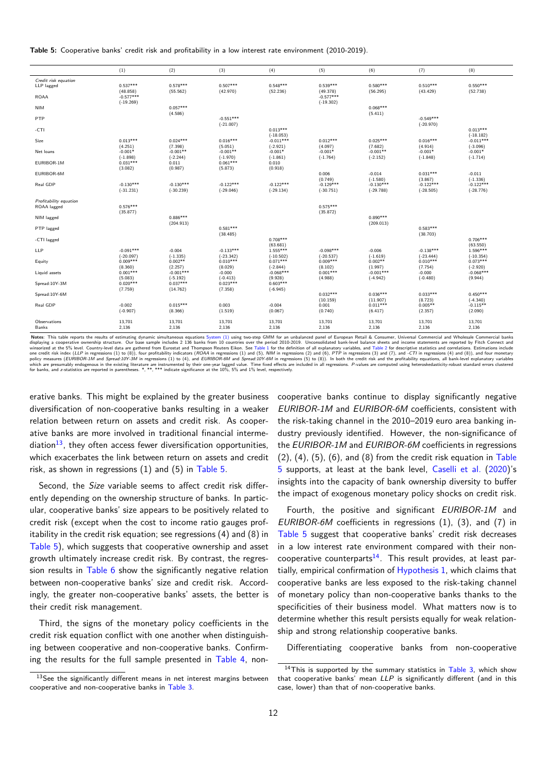**Table 5:** Cooperative banks' credit risk and profitability in a low interest rate environment (2010-2019).

<span id="page-11-0"></span>

|                        | (1)         | (2)         | (3)         | (4)         | (5)                    | (6)                    | (7)                    | (8)                      |
|------------------------|-------------|-------------|-------------|-------------|------------------------|------------------------|------------------------|--------------------------|
| Credit risk equation   |             |             |             |             |                        |                        |                        |                          |
| LLP lagged             | $0.537***$  | $0.578***$  | $0.507***$  | $0.548***$  | $0.539***$             | $0.580***$             | $0.510***$             | $0.550***$               |
|                        | (48.858)    | (55.562)    | (42.970)    | (52.236)    | (49.378)               | (56.295)               | (43.429)               | (52.738)                 |
| <b>ROAA</b>            | $-0.577***$ |             |             |             | $-0.577***$            |                        |                        |                          |
|                        | $(-19.269)$ |             |             |             | $(-19.302)$            |                        |                        |                          |
| <b>NIM</b>             |             | $0.057***$  |             |             |                        | $0.068***$             |                        |                          |
| PTP                    |             | (4.586)     | $-0.551***$ |             |                        | (5.411)                | $-0.549***$            |                          |
|                        |             |             | $(-21.007)$ |             |                        |                        | $(-20.970)$            |                          |
| -CTI                   |             |             |             | $0.013***$  |                        |                        |                        | $0.013***$               |
|                        |             |             |             | $(-18.053)$ |                        |                        |                        | $(-18.182)$              |
| Size                   | $0.013***$  | $0.024***$  | $0.016***$  | $-0.011***$ | $0.012***$             | $0.025***$             | $0.016***$             | $-0.011***$              |
|                        | (4.251)     | (7.398)     | (5.051)     | $(-2.921)$  | (4.097)                | (7.682)                | (4.914)                | $(-3.096)$               |
| Net loans              | $-0.001*$   | $-0.001**$  | $-0.001**$  | $-0.001*$   | $-0.001*$              | $-0.001**$             | $-0.001*$              | $-0.001*$                |
|                        | $(-1.898)$  | $(-2.244)$  | $(-1.970)$  | $(-1.861)$  | $(-1.764)$             | $(-2.152)$             | $(-1.848)$             | $(-1.714)$               |
| EURIBOR-1M             | $0.031***$  | 0.011       | $0.061***$  | 0.010       |                        |                        |                        |                          |
|                        | (3.082)     | (0.987)     | (5.873)     | (0.918)     |                        | $-0.014$               | $0.031***$             | $-0.011$                 |
| EURIBOR-6M             |             |             |             |             | 0.006                  | $(-1.580)$             |                        | $(-1.336)$               |
| Real GDP               | $-0.130***$ | $-0.130***$ | $-0.122***$ | $-0.122***$ | (0.749)<br>$-0.129***$ | $-0.130***$            | (3.867)<br>$-0.122***$ | $-0.122***$              |
|                        | $(-31.231)$ | $(-30.239)$ | $(-29.046)$ | $(-29.134)$ | $(-30.751)$            | $(-29.788)$            | $(-28.505)$            | $(-28.776)$              |
|                        |             |             |             |             |                        |                        |                        |                          |
| Profitability equation |             |             |             |             |                        |                        |                        |                          |
| ROAA lagged            | $0.576***$  |             |             |             | $0.575***$             |                        |                        |                          |
|                        | (35.877)    |             |             |             | (35.872)               |                        |                        |                          |
| NIM lagged             |             | $0.886***$  |             |             |                        | $0.890***$             |                        |                          |
|                        |             | (204.913)   |             |             |                        | (209.013)              |                        |                          |
| PTP lagged             |             |             | $0.581***$  |             |                        |                        | $0.583***$             |                          |
|                        |             |             | (38.485)    | $0.708***$  |                        |                        | (38.703)               | $0.706***$               |
| -CTI lagged            |             |             |             | (63.681)    |                        |                        |                        | (63.550)                 |
| LLP                    | $-0.091***$ | $-0.004$    | $-0.133***$ | $1.555***$  | $-0.098***$            | $-0.006$               | $-0.138***$            | $1.596***$               |
|                        | $(-20.097)$ | $(-1.335)$  | $(-23.342)$ | $(-10.502)$ | $(-20.537)$            | $(-1.619)$             | $(-23.444)$            | $(-10.354)$              |
| Equity                 | $0.009***$  | $0.002**$   | $0.010***$  | $0.071***$  | $0.009***$             | $0.002**$              | $0.010***$             | $0.073***$               |
|                        | (8.360)     | (2.257)     | (8.029)     | $(-2.844)$  | (8.102)                | (1.997)                | (7.754)                | $(-2.920)$               |
| Liquid assets          | $0.001***$  | $-0.001***$ | $-0.000$    | $-0.068***$ | $0.001***$             | $-0.001***$            | $-0.000$               | $-0.068***$              |
|                        | (5.083)     | $(-5.192)$  | $(-0.413)$  | (9.928)     | (4.988)                | $(-4.942)$             | $(-0.480)$             | (9.944)                  |
| Spread:10Y-3M          | $0.020***$  | $0.037***$  | $0.023***$  | $0.603***$  |                        |                        |                        |                          |
|                        | (7.759)     | (14.762)    | (7.358)     | $(-6.945)$  |                        |                        |                        |                          |
| Spread:10Y-6M          |             |             |             |             | $0.032***$             | $0.036***$             | $0.033***$             | $0.450***$               |
| Real GDP               | $-0.002$    | $0.015***$  | 0.003       | $-0.004$    | (10.159)<br>0.001      | (11.907)<br>$0.011***$ | (8.723)<br>$0.005**$   | $(-4.340)$<br>$-0.115**$ |
|                        | $(-0.907)$  | (8.366)     | (1.519)     | (0.067)     | (0.740)                | (6.417)                | (2.357)                | (2.090)                  |
|                        |             |             |             |             |                        |                        |                        |                          |
| Observations           | 13,701      | 13,701      | 13,701      | 13,701      | 13,701                 | 13.701                 | 13,701                 | 13,701                   |
| Banks                  | 2,136       | 2,136       | 2,136       | 2,136       | 2,136                  | 2,136                  | 2,136                  | 2,136                    |
|                        |             |             |             |             |                        |                        |                        |                          |

Notes: This table reports the results of estimations dynamic simultaneous equations System (1) using two-step GMM for an unbalanced panal of European Retail & Consumer, Universal Commercial and Wholesale Commercial and Who are instrumented by their one-year lagged value. Time fixed effects are included in all regressions. P-values are computed using heteroskedasticity-robust standard errors clustered for parameters (*LUKIBUN-1M* and *Jureau.Ly reported in* the second in the set of their one-year lagged value. Time fixed effects are which are presumably endogenous in the existing literature are instrumented by their one

erative banks. This might be explained by the greater busi[ness](#page-7-0) diversification of non-cooperative banks resulting in a weaker relation between return on assets and credit risk. As cooperative banks are more involved in traditional financial intermediation $^{13}$ , they often access fewer diversification opportunities, which exacerbates the link between return on assets and credit risk, as shown in regressions (1) and (5) in Table 5.

Sec[ond](#page-11-1), the *Size* variable seems to affect credit risk differently depending on the ownership structure of banks. In particular, cooperative banks' size appears to be [positively](#page-11-0) related to credit risk (except when the cost to income ratio gauges profitability in the credit risk equation; see regressions (4) and (8) in Table 5), which suggests that cooperative ownership and asset growth ultimately increase credit risk. By contrast, the regression results in Table 6 show the significantly negative relation between non-cooperative banks' size and credit risk. Accord[ingly, th](#page-11-0)e greater non-cooperative banks' assets, the better is their credit risk management.

Third, the [signs of](#page-12-0) the monetary policy coefficients in the credit risk equation conflict with one another when distinguishing between cooperative and non-cooperative banks. Confirming the results for the full sample presented in Table 4, non-

<span id="page-11-1"></span> $13$ See the significantly different means in net interest margins between cooperative and non-cooperative banks in Table 3.

cooperative banks cont[inue](#page-8-0) to display significantly negative *EURIBOR-1M* and *EURIBOR-6M* coefficients, consistent with the risk-taking channel in the 2010–2019 euro area banking industry previously identified. However, the non-significance of the *EURIBOR-1M* and *EURIBOR-6M* coefficients in regressions  $(2)$ ,  $(4)$ ,  $(5)$ ,  $(6)$ , and  $(8)$  from the credit risk equation in Table 5 supports, at least at the bank level, Caselli et al. (2020)'s insights into the capacity of bank ownership diversity to buffer the impact of exogenous monetary policy shocks on credi[t risk.](#page-11-0)

Fourth, the positive and significant *[EURIBOR-](#page-18-14)1M* and *[E](#page-11-0)URIBOR-6M* coefficients in regressions (1), (3), an[d \(7\)](#page-18-14) in Table 5 suggest that cooperative banks' credit risk decreases in a low interest rate environment compared with their noncooperative counterparts<sup>14</sup>. This result provides, at least partially, empirical confirmation of Hypothesis 1, which claims that [coopera](#page-11-0)tive banks are less exposed to the risk-taking channel of monetary policy than non-cooperative banks thanks to the specificities of their busi[ne](#page-11-2)ss model. What matters now is to determine whether this result p[ersists equally](#page-2-4) for weak relationship and strong relationship cooperative banks.

Differentiating cooperative banks from non-cooperative

<span id="page-11-2"></span> $14$ This is supported by the summary statistics in Table 3, which show that cooperative banks' mean *LLP* is significantly different (and in this case, lower) than that of non-cooperative banks.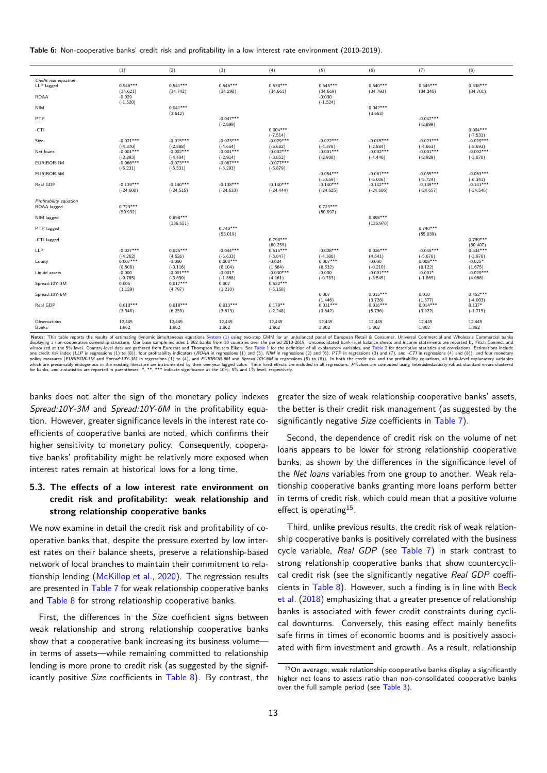**Table 6:** Non-cooperative banks' credit risk and profitability in a low interest rate environment (2010-2019).

<span id="page-12-0"></span>

|                        | (1)         | (2)         | (3)                    | (4)         | (5)         | (6)         | (7)                    | (8)         |
|------------------------|-------------|-------------|------------------------|-------------|-------------|-------------|------------------------|-------------|
| Credit risk equation   |             |             |                        |             |             |             |                        |             |
| LLP lagged             | $0.546***$  | $0.541***$  | $0.546***$             | $0.538***$  | $0.545***$  | $0.540***$  | $0.545***$             | $0.538***$  |
|                        | (34.621)    | (34.742)    | (34.298)               | (34.661)    | (34.669)    | (34.793)    | (34.346)               | (34.701)    |
| <b>ROAA</b>            | $-0.029$    |             |                        |             | $-0.030$    |             |                        |             |
|                        | $(-1.520)$  |             |                        |             | $(-1.524)$  |             |                        |             |
| <b>NIM</b>             |             | $0.041***$  |                        |             |             | $0.042***$  |                        |             |
| PTP                    |             | (3.612)     | $-0.047***$            |             |             | (3.663)     | $-0.047***$            |             |
|                        |             |             | $(-2.899)$             |             |             |             | $(-2.899)$             |             |
| -CTI                   |             |             |                        | $0.004***$  |             |             |                        | $0.004***$  |
|                        |             |             |                        | $(-7.514)$  |             |             |                        | $(-7.531)$  |
| Size                   | $-0.021***$ | $-0.015***$ | $-0.023***$            | $-0.029***$ | $-0.022***$ | $-0.015***$ | $-0.023***$            | $-0.029***$ |
|                        | $(-4.370)$  | $(-2.888)$  | $(-4.654)$             | $(-5.682)$  | $(-4.378)$  | $(-2.884)$  | $(-4.661)$             | $(-5.693)$  |
| Net loans              | $-0.001***$ | $-0.002***$ | $-0.001***$            | $-0.002***$ | $-0.001***$ | $-0.002***$ | $-0.001***$            | $-0.002***$ |
|                        | $(-2.893)$  | $(-4.404)$  | $(-2.914)$             | $(-3.852)$  | $(-2.908)$  | $(-4.440)$  | $(-2.929)$             | $(-3.870)$  |
| EURIBOR-1M             | $-0.066***$ | $-0.073***$ | $-0.067***$            | $-0.077***$ |             |             |                        |             |
| EURIBOR-6M             | $(-5.231)$  | $(-5.531)$  | $(-5.293)$             | $(-5.879)$  | $-0.054***$ | $-0.061***$ | $-0.055***$            | $-0.063***$ |
|                        |             |             |                        |             | $(-5.659)$  | $(-6.006)$  | $(-5.724)$             | $(-6.341)$  |
| Real GDP               | $-0.139***$ | $-0.140***$ | $-0.138***$            | $-0.140***$ | $-0.140***$ | $-0.142***$ | $-0.139***$            | $-0.141***$ |
|                        | $(-24.600)$ | $(-24.515)$ | $(-24.633)$            | $(-24.444)$ | $(-24.625)$ | $(-24.606)$ | $(-24.657)$            | $(-24.546)$ |
|                        |             |             |                        |             |             |             |                        |             |
| Profitability equation |             |             |                        |             |             |             |                        |             |
| ROAA lagged            | $0.723***$  |             |                        |             | $0.723***$  |             |                        |             |
|                        | (50.992)    |             |                        |             | (50.997)    |             |                        |             |
| NIM lagged             |             | $0.898***$  |                        |             |             | $0.898***$  |                        |             |
|                        |             | (136.651)   |                        |             |             | (136.970)   |                        |             |
| PTP lagged             |             |             | $0.740***$<br>(55.019) |             |             |             | $0.740***$<br>(55.039) |             |
| -CTI lagged            |             |             |                        | $0.798***$  |             |             |                        | $0.799***$  |
|                        |             |             |                        | (80.259)    |             |             |                        | (80.407)    |
| LLP                    | $-0.027***$ | $0.025***$  | $-0.044***$            | $0.515***$  | $-0.028***$ | $0.026***$  | $-0.045***$            | $0.534***$  |
|                        | $(-4.262)$  | (4.526)     | $(-5.633)$             | $(-3.847)$  | $(-4.306)$  | (4.641)     | $(-5.676)$             | $(-3.970)$  |
| Equity                 | $0.007***$  | $-0.000$    | $0.008***$             | $-0.024$    | $0.007***$  | $-0.000$    | $0.008***$             | $-0.025*$   |
|                        | (8.508)     | $(-0.116)$  | (8.104)                | (1.564)     | (8.532)     | $(-0.210)$  | (8.122)                | (1.675)     |
| Liquid assets          | $-0.000$    | $-0.001***$ | $-0.001*$              | $-0.030***$ | $-0.000$    | $-0.001***$ | $-0.001*$              | $-0.029***$ |
|                        | $(-0.785)$  | $(-3.630)$  | $(-1.868)$             | (4.161)     | $(-0.783)$  | $(-3.545)$  | $(-1.869)$             | (4.068)     |
| Spread: 10Y-3M         | 0.005       | $0.017***$  | 0.007                  | $0.522***$  |             |             |                        |             |
| Spread: 10Y-6M         | (1.129)     | (4.797)     | (1.210)                | $(-5.158)$  | 0.007       | $0.015***$  | 0.010                  | $0.452***$  |
|                        |             |             |                        |             | (1.446)     | (3.728)     | (1.577)                | $(-4.003)$  |
| Real GDP               | $0.010***$  | $0.018***$  | $0.013***$             | $0.179**$   | $0.011***$  | $0.016***$  | $0.014***$             | $0.137*$    |
|                        | (3.348)     | (6.259)     | (3.613)                | $(-2.248)$  | (3.642)     | (5.736)     | (3.922)                | $(-1.715)$  |
|                        |             |             |                        |             |             |             |                        |             |
| Observations           | 12,445      | 12,445      | 12,445                 | 12,445      | 12,445      | 12,445      | 12,445                 | 12,445      |
| Banks                  | 1,862       | 1,862       | 1,862                  | 1,862       | 1,862       | 1,862       | 1,862                  | 1,862       |
|                        |             |             |                        |             |             |             |                        |             |

Notes: This table reports the results of estimations dynamic simultaneous equations System (1) using two-step GMM for an unbalanced pank-level balance sheets and income statements are Whensel of System (Income externion or are instrumented by their one-year lagged value. Time fixed effects are included in all regressions. P-values are computed using heteroskedasticity-robust standard errors clustered for parameters (*LUKIBUN-1M* and *Jureau.Ly reported in* the second in the set of their one-year lagged value. Time fixed effects are which are presumably endogenous in the existing literature are instrumented by their one

banks does not alter the sign of the monetary policy ind[exes](#page-7-0) *Spread:10Y-3M* and *Spread:10Y-6M* in the profitability equation. However, greater significance levels in the interest rate coefficients of cooperative banks are noted, which confirms their higher sensitivity to monetary policy. Consequently, cooperative banks' profitability might be relatively more exposed when interest rates remain at historical lows for a long time.

# **5.3. The effects of a low interest rate environment on credit risk and profitability: weak relationship and strong relationship cooperative banks**

We now examine in detail the credit risk and profitability of cooperative banks that, despite the pressure exerted by low interest rates on their balance sheets, preserve a relationship-based network of local branches to maintain their commitment to relationship lending (McKillop et al., 2020). The regression results are presented in Table 7 for weak relationship cooperative banks and Table 8 for strong relationship cooperative banks.

First, the diff[erences in the](#page-19-5) *S[ize](#page-19-5)* coefficient signs between weak relationsh[ip and](#page-13-0) strong relationship cooperative banks sho[w that a](#page-14-0) cooperative bank increasing its business volumein terms of assets—while remaining committed to relationship lending is more prone to credit risk (as suggested by the significantly positive *Size* coefficients in Table 8). By contrast, the greater the size of weak [relat](#page-8-0)ionship cooperative banks' assets, the better is their credit risk management (as suggested by the significantly negative *Size* coefficients in Table 7).

Second, the dependence of credit risk on the volume of net loans appears to be lower for strong relationship cooperative banks, as shown by the differences in th[e signifi](#page-13-0)cance level of the *Net loans* variables from one group to another. Weak relationship cooperative banks granting more loans perform better in terms of credit risk, which could mean that a positive volume effect is operating<sup>15</sup>.

Third, unlike previous results, the credit risk of weak relationship cooperative banks is positively correlated with the business cycle variable, *R[eal](#page-12-1) GDP* (see Table 7) in stark contrast to strong relationship cooperative banks that show countercyclical credit risk (see the significantly negative *Real GDP* coefficients in Table 8). However, such a finding is in line with Beck et al. (2018) emphasizing that a [greater p](#page-13-0)resence of relationship banks is associated with fewer credit constraints during cyclical downturns. Conversely, this easing effect mainly benefits safe firm[s in time](#page-14-0)s of economic booms and is positively a[ssoci](#page-18-28)[ated](#page-18-28) [with fi](#page-18-28)rm investment and growth. As a result, relationship

<span id="page-12-1"></span> $15$ On average, weak relationship cooperative banks display a significantly higher net loans to assets ratio than non-consolidated cooperative banks over the full sample period (see Table 3).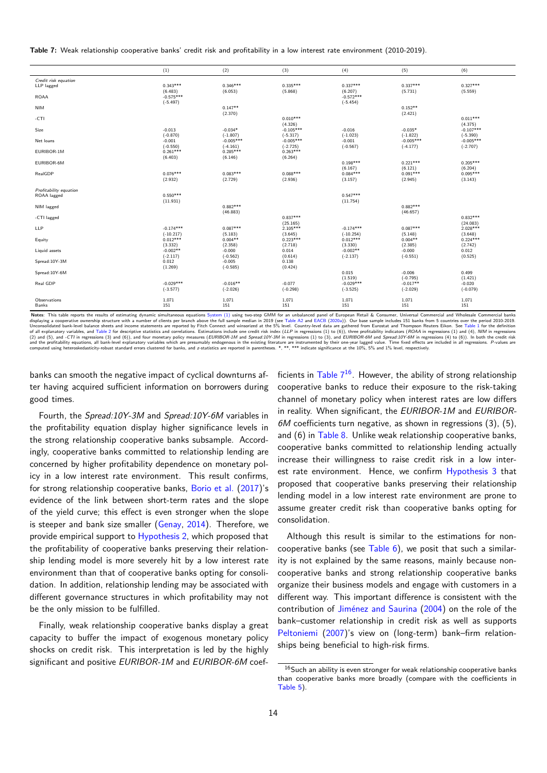**Table 7:** Weak relationship cooperative banks' credit risk and profitability in a low interest rate environment (2010-2019).

<span id="page-13-0"></span>

|                        | (1)         | (2)         | (3)         | (4)         | (5)         | (6)         |
|------------------------|-------------|-------------|-------------|-------------|-------------|-------------|
| Credit risk equation   |             |             |             |             |             |             |
| LLP lagged             | $0.343***$  | $0.346***$  | $0.335***$  | $0.337***$  | $0.337***$  | $0.327***$  |
|                        | (6.483)     | (6.053)     | (5.868)     | (6.207)     | (5.731)     | (5.559)     |
| <b>ROAA</b>            | $-0.575***$ |             |             | $-0.572***$ |             |             |
|                        | $(-5.497)$  |             |             | $(-5.454)$  |             |             |
| <b>NIM</b>             |             | $0.147**$   |             |             | $0.152**$   |             |
|                        |             | (2.370)     |             |             | (2.421)     |             |
| $-CTI$                 |             |             | $0.010***$  |             |             | $0.011***$  |
|                        |             |             | (4.326)     |             |             | (4.375)     |
| Size                   | $-0.013$    | $-0.034*$   | $-0.105***$ | $-0.016$    | $-0.035*$   | $-0.107***$ |
|                        | $(-0.870)$  | $(-1.807)$  | $(-5.317)$  | $(-1.023)$  | $(-1.822)$  | $(-5.390)$  |
| Net loans              | $-0.001$    | $-0.005***$ | $-0.005***$ | $-0.001$    | $-0.005***$ | $-0.005***$ |
|                        | $(-0.550)$  | $(-4.161)$  | $(-2.725)$  | $(-0.567)$  | $(-4.177)$  | $(-2.707)$  |
| EURIBOR-1M             | $0.261***$  | $0.285***$  | $0.263***$  |             |             |             |
|                        | (6.403)     | (6.146)     | (6.264)     |             |             |             |
| EURIBOR-6M             |             |             |             | $0.198***$  | $0.221***$  | $0.205***$  |
|                        |             |             |             | (6.167)     | (6.121)     | (6.204)     |
| RealGDP                | $0.076***$  | $0.083***$  | $0.088***$  | $0.084***$  | $0.091***$  | $0.095***$  |
|                        | (2.932)     | (2.729)     | (2.936)     | (3.157)     | (2.945)     | (3.143)     |
|                        |             |             |             |             |             |             |
| Profitability equation | $0.550***$  |             |             | $0.547***$  |             |             |
| ROAA lagged            | (11.931)    |             |             | (11.754)    |             |             |
| NIM lagged             |             | $0.882***$  |             |             | $0.882***$  |             |
|                        |             | (46.883)    |             |             | (46.657)    |             |
| -CTI lagged            |             |             | $0.837***$  |             |             | $0.832***$  |
|                        |             |             | (25.165)    |             |             | (24.083)    |
| LLP                    | $-0.174***$ | $0.087***$  | $2.105***$  | $-0.174***$ | $0.087***$  | $2.028***$  |
|                        | $(-10.217)$ | (5.183)     | (3.645)     | $(-10.254)$ | (5.148)     | (3.648)     |
| Equity                 | $0.012***$  | $0.004**$   | $0.223***$  | $0.012***$  | $0.004**$   | $0.224***$  |
|                        | (3.332)     | (2.358)     | (2.718)     | (3.330)     | (2.385)     | (2.742)     |
| Liquid assets          | $-0.002**$  | $-0.000$    | 0.014       | $-0.002**$  | $-0.000$    | 0.012       |
|                        | $(-2.117)$  | $(-0.562)$  | (0.614)     | $(-2.137)$  | $(-0.551)$  | (0.525)     |
| Spread:10Y-3M          | 0.012       | $-0.005$    | 0.138       |             |             |             |
|                        | (1.269)     | $(-0.585)$  | (0.424)     |             |             |             |
| Spread: 10Y-6M         |             |             |             | 0.015       | $-0.006$    | 0.499       |
|                        |             |             |             | (1.519)     | $(-0.795)$  | (1.421)     |
| Real GDP               | $-0.029***$ | $-0.016**$  | $-0.077$    | $-0.029***$ | $-0.017**$  | $-0.020$    |
|                        | $(-3.577)$  | $(-2.026)$  | $(-0.298)$  | $(-3.525)$  | $(-2.029)$  | $(-0.079)$  |
| Observations           | 1,071       | 1,071       | 1,071       | 1,071       | 1,071       | 1,071       |
| Banks                  | 151         | 151         | 151         | 151         | 151         | 151         |
|                        |             |             |             |             |             |             |

Notes: This table reports the results of estimating dynamic simultaneous equations System (1) using two-step GMM for an unbalanced panel of European Retail & Consumer, Universal Commercial and Wholesale Commercial banks<br>di Unconsolidated bank-level balance sheets and income statements are reported by Fitch Connect and winsorized at the 5% level. Country-level data are gathered from Eurostat and Thompson Reuters Eikon. See Table 1 for the def of all explanatory variables, and Table 2 for descriptive statistics and correlations. Estimations include one credit risk index (LLP in regressions (1) to (6)), three profitability indicators (ROAA in regressions (1) and and the profitability equations, all bank-level explanatory variables which are presumably endogenous in the existing literature are instrumented by their one-year lagged value. Time fixed effects are included in all regre

banks can smoot[h the](#page-8-0) negative impact of cyclical downturns after having acquired sufficient information on borrowers during good times.

Fourth, the *Spread:10Y-3M* and *Spread:10Y-6M* variables in the profitability equation display higher significance levels in the strong relationship cooperative banks subsample. Accordingly, cooperative banks committed to relationship lending are concerned by higher profitability dependence on monetary policy in a low interest rate environment. This result confirms, for strong relationship cooperative banks, Borio et al. (2017)'s evidence of the link between short-term rates and the slope of the yield curve; this effect is even stronger when the slope is steeper and bank size smaller (Genay, 2014). Therefore, we provide empirical support to Hypothesis 2, [which proposed th](#page-18-19)at the profitability of cooperative banks preserving their relationship lending model is more severely hit by a low interest rate environment than that of cooper[ative banks op](#page-19-14)ting for consolidation. In addition, relations[hip lending m](#page-2-5)ay be associated with different governance structures in which profitability may not be the only mission to be fulfilled.

Finally, weak relationship cooperative banks display a great capacity to buffer the impact of exogenous monetary policy shocks on credit risk. This interpretation is led by the highly significant and positive *EURIBOR-1M* and *EURIBOR-6M* coefficients in Table  $7^{16}$ . However, the ability of stro[ng re](#page-7-0)lationship cooperative banks to reduce their exposure to the risk-taking channel of monetary policy when interest rates are low differs in reality. When significant, the *EURIBOR-1M* and *EURIBOR-6M* coeffi[cients tu](#page-13-0)[rn](#page-13-1) negative, as shown in regressions (3), (5), and (6) in Table 8. Unlike weak relationship cooperative banks, cooperative banks committed to relationship lending actually increase their willingness to raise credit risk in a low interest rate environment. Hence, we confirm Hypothesis 3 that proposed [that coo](#page-14-0)perative banks preserving their relationship lending model in a low interest rate environment are prone to assume greater credit risk than cooperativ[e banks optin](#page-3-1)g for consolidation.

Although this result is similar to the estimations for noncooperative banks (see Table 6), we posit that such a similarity is not explained by the same reasons, mainly because noncooperative banks and strong relationship cooperative banks organize their business models and engage with customers in a different way. This imp[ortant d](#page-12-0)ifference is consistent with the contribution of Jiménez and Saurina (2004) on the role of the bank–customer relationship in credit risk as well as supports Peltoniemi (2007)'s view on (long-term) bank–firm relationships being ben[eficial to high-risk firms.](#page-19-7)

<span id="page-13-1"></span> $16$ Such an ability is even stronger for weak relationship cooperative banks [than coopera](#page-20-3)t[ive ba](#page-20-3)nks more broadly (compare with the coefficients in Table 5).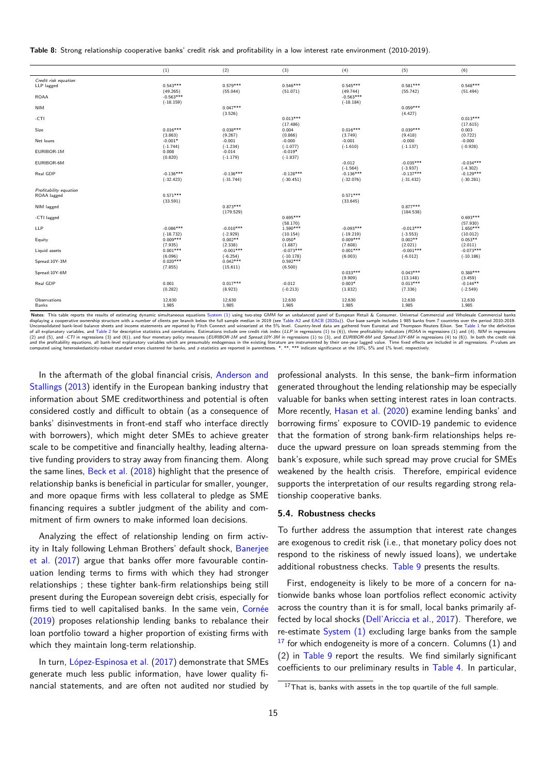**Table 8:** Strong relationship cooperative banks' credit risk and profitability in a low interest rate environment (2010-2019).

<span id="page-14-0"></span>

|                        | (1)                        | (2)                       | (3)                     | (4)                        | (5)                       | (6)                    |
|------------------------|----------------------------|---------------------------|-------------------------|----------------------------|---------------------------|------------------------|
| Credit risk equation   |                            |                           |                         |                            |                           |                        |
| LLP lagged             | $0.543***$                 | $0.579***$                | $0.546***$              | $0.545***$                 | $0.581***$                | $0.548***$             |
|                        | (49.265)                   | (55.044)                  | (51.071)                | (49.744)                   | (55.742)                  | (51.494)               |
| <b>ROAA</b>            | $-0.563***$                |                           |                         | $-0.563***$                |                           |                        |
| <b>NIM</b>             | $(-18.159)$                | $0.047***$                |                         | $(-18.184)$                | $0.059***$                |                        |
|                        |                            | (3.526)                   |                         |                            | (4.427)                   |                        |
| $-CTI$                 |                            |                           | $0.013***$              |                            |                           | $0.013***$             |
|                        |                            |                           | (17.486)                |                            |                           | (17.615)               |
| Size                   | $0.016***$                 | $0.038***$                | 0.004                   | $0.016***$                 | $0.039***$                | 0.003                  |
|                        | (3.863)                    | (9.267)                   | (0.866)                 | (3.749)                    | (9.418)                   | (0.722)                |
| Net loans              | $-0.001*$                  | $-0.001$                  | $-0.000$                | $-0.001$                   | $-0.000$                  | $-0.000$               |
| EURIBOR-1M             | $(-1.744)$<br>0.008        | $(-1.234)$<br>$-0.014$    | $(-1.077)$<br>$-0.019*$ | $(-1.610)$                 | $(-1.137)$                | $(-0.928)$             |
|                        | (0.820)                    | $(-1.179)$                | $(-1.837)$              |                            |                           |                        |
| EURIBOR-6M             |                            |                           |                         | $-0.012$                   | $-0.035***$               | $-0.034***$            |
|                        |                            |                           |                         | $(-1.564)$                 | $(-3.937)$                | $(-4.302)$             |
| Real GDP               | $-0.136***$                | $-0.136***$               | $-0.128***$             | $-0.136***$                | $-0.137***$               | $-0.129***$            |
|                        | $(-32.423)$                | $(-31.744)$               | $(-30.451)$             | $(-32.076)$                | $(-31.432)$               | $(-30.281)$            |
| Profitability equation |                            |                           |                         |                            |                           |                        |
| ROAA lagged            | $0.571***$                 |                           |                         | $0.571***$                 |                           |                        |
|                        | (33.591)                   |                           |                         | (33.645)                   |                           |                        |
| NIM lagged             |                            | $0.873***$                |                         |                            | $0.877***$                |                        |
|                        |                            | (179.529)                 |                         |                            | (184.538)                 |                        |
| -CTI lagged            |                            |                           | $0.695***$              |                            |                           | $0.693***$             |
|                        |                            |                           | (58.170)                |                            |                           | (57.930)               |
| LLP                    | $-0.086***$<br>$(-18.732)$ | $-0.010***$<br>$(-2.929)$ | $1.590***$<br>(10.154)  | $-0.093***$<br>$(-19.219)$ | $-0.013***$<br>$(-3.553)$ | $1.650***$<br>(10.012) |
| Equity                 | $0.009***$                 | $0.002**$                 | $0.050*$                | $0.009***$                 | $0.002**$                 | $0.053**$              |
|                        | (7.935)                    | (2.338)                   | (1.887)                 | (7.608)                    | (2.021)                   | (2.011)                |
| Liquid assets          | $0.001***$                 | $-0.001***$               | $-0.073***$             | $0.001***$                 | $-0.001***$               | $-0.073***$            |
|                        | (6.096)                    | $(-6.254)$                | $(-10.178)$             | (6.003)                    | $(-6.012)$                | $(-10.186)$            |
| Spread: 10Y-3M         | $0.020***$                 | $0.042***$                | $0.592***$              |                            |                           |                        |
| Spread: 10Y-6M         | (7.855)                    | (15.611)                  | (6.500)                 | $0.033***$                 | $0.043***$                | $0.388***$             |
|                        |                            |                           |                         | (9.909)                    | (13.148)                  | (3.459)                |
| Real GDP               | 0.001                      | $0.017***$                | $-0.012$                | $0.003*$                   | $0.013***$                | $-0.144**$             |
|                        | (0.282)                    | (8.923)                   | $(-0.213)$              | (1.832)                    | (7.336)                   | $(-2.549)$             |
|                        |                            |                           |                         |                            |                           |                        |
| Observations           | 12,630                     | 12,630                    | 12,630                  | 12,630                     | 12,630                    | 12,630                 |
| Banks                  | 1,985                      | 1,985                     | 1,985                   | 1,985                      | 1,985                     | 1,985                  |

Notes: This table reports the results of estimating dynamic simultaneous equations System (1) using two-step GMM for an unbalanced panel of European Retail & Consumer, Universal Commercial and Wholesale Commercial banks<br>di Unconsolidated bank-level balance sheets and income statements are reported by Fitch Connect and winsorized at the 5% level. Country-level data are gathered from Eurostat and Thompson Reuters Eikon. See Table 1 for the def of all explanatory variables, and Table 2 for descriptive statistics and correlations. Estimations include one credit risk index (LLP in regressions (1) to (6)), three profitability indicators (ROAA in regressions (1) and and the profitability equations, all bank-level explanatory variables which are presumably endogenous in the existing literature are instrumented by their one-year lagged value. Time fixed effects are included in all regre

In the afterma[th of](#page-8-0) the global financial crisis, Anderson and Stallings (2013) identify in the European banking industry that information about SME creditworthiness and potential is often considered costly and difficult to obtain (as a consequence of banks' disinvestments in front-end staff who int[erface directly](#page-18-29) [with bor](#page-18-29)r[owers](#page-18-29)), which might deter SMEs to achieve greater scale to be competitive and financially healthy, leading alternative funding providers to stray away from financing them. Along the same lines, Beck et al. (2018) highlight that the presence of relationship banks is beneficial in particular for smaller, younger, and more opaque firms with less collateral to pledge as SME financing requires a subtler judgment of the ability and commitment of fir[m owners to make](#page-18-28) informed loan decisions.

Analyzing the effect of relationship lending on firm activity in Italy following Lehman Brothers' default shock, Banerjee et al. (2017) argue that banks offer more favourable continuation lending terms to firms with which they had stronger relationships ; these tighter bank-firm relationships being still present during the European sovereign debt crisis, esp[ecially for](#page-18-30) [firms](#page-18-30) ti[ed to](#page-18-30) well capitalised banks. In the same vein, Cornée (2019) proposes relationship lending banks to rebalance their loan portfolio toward a higher proportion of existing firms with which they maintain long-term relationship.

[In t](#page-18-31)urn, López-Espinosa et al. (2017) demonstrate tha[t SMEs](#page-18-31) generate much less public information, have lower quality financial statements, and are often not audited nor studied by

professional analysts. In this sense, the bank–fir[m in](#page-7-0)formation generated throughout the lending relationship may be especially valuable for banks when setting interest rates in loan contracts. More recently, Hasan et al. (2020) examine lending banks' and borrowing firms' exposure to COVID-19 pandemic to evidence that the formation of strong bank-firm relationships helps reduce the upward pressure on loan spreads stemming from the bank's exposur[e, while such spread](#page-19-30) may prove crucial for SMEs weakened by the health crisis. Therefore, empirical evidence supports the interpretation of our results regarding strong relationship cooperative banks.

### **5.4. Robustness checks**

To further address the assumption that interest rate changes are exogenous to credit risk (i.e., that monetary policy does not respond to the riskiness of newly issued loans), we undertake additional robustness checks. Table 9 presents the results.

First, endogeneity is likely to be more of a concern for nationwide banks whose loan portfolios reflect economic activity across the country than it is f[or small,](#page-15-0) local banks primarily affected by local shocks (Dell'Ariccia et al., 2017). Therefore, we re-estimate System (1) excluding large banks from the sample  $17$  for which endogeneity is more of a concern. Columns (1) and (2) in Table 9 report the results. We find similarly significant coefficients [to our preli](#page-5-2)[minary results in](#page-19-31) [Table](#page-19-31) 4. In particular,

<span id="page-14-1"></span> $17$  $17$ That is, banks with assets in the top quartile of the full sample.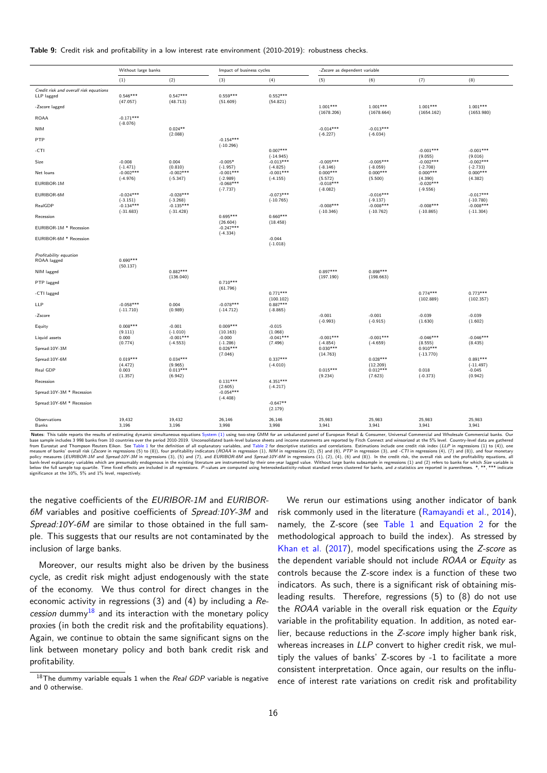**Table 9:** Credit risk and profitability in a low interest rate environment (2010-2019): robustness checks.

<span id="page-15-0"></span>

| (2)<br>(8)<br>(1)<br>(3)<br>(4)<br>(5)<br>(6)<br>(7)<br>Credit risk and overall risk equations<br>$0.547***$<br>$0.552***$<br>$0.546***$<br>$0.559***$<br>LLP lagged<br>(47.057)<br>(48.713)<br>(51.609)<br>(54.821)<br>$1.001***$<br>$1.001***$<br>$1.001***$<br>$1.001***$<br>-Zscore lagged<br>(1678.206)<br>(1678.664)<br>(1654.162)<br>(1653.980)<br>$-0.171***$<br><b>ROAA</b><br>$(-8.076)$<br>$0.024**$<br>$-0.014***$<br>$-0.013***$<br><b>NIM</b><br>(2.088)<br>$(-6.227)$<br>$(-6.034)$<br>$-0.154***$<br>PTP<br>$(-10.296)$<br>$0.007***$<br>$-0.001***$<br>$-0.001***$<br>-CTI<br>$(-14.945)$<br>(9.055)<br>(9.016)<br>$-0.002***$<br>$-0.013***$<br>$-0.005***$<br>$-0.005***$<br>$-0.002***$<br>Size<br>$-0.008$<br>0.004<br>$-0.005*$<br>$(-1.471)$<br>(0.810)<br>$(-4.825)$<br>$(-8.059)$<br>$(-2.708)$<br>$(-1.957)$<br>$(-8.146)$<br>$(-2.733)$<br>$-0.002***$<br>$-0.002***$<br>$-0.001***$<br>$-0.001***$<br>$0.000***$<br>$0.000***$<br>$0.000***$<br>$0.000***$<br>Net loans<br>$(-4.976)$<br>$(-5.347)$<br>$(-2.989)$<br>$(-4.155)$<br>(5.572)<br>(5.500)<br>(4.390)<br>(4.382)<br>EURIBOR-1M<br>$-0.068***$<br>$-0.018***$<br>$-0.020***$<br>$(-7.737)$<br>$(-8.082)$<br>$(-9.556)$<br>$-0.024***$<br>$-0.028***$<br>$-0.073***$<br>$-0.016***$<br>$-0.017***$<br>EURIBOR-6M<br>$(-3.268)$<br>$(-10.765)$<br>$(-9.137)$<br>$(-10.780)$<br>$(-3.151)$<br>$-0.008***$<br>$-0.134***$<br>$-0.135***$<br>$-0.008***$<br>$-0.008***$<br>$-0.008***$<br>RealGDP<br>$(-31.683)$<br>$(-31.428)$<br>$(-10.346)$<br>$(-10.762)$<br>$(-10.865)$<br>$(-11.304)$<br>$0.695***$<br>$0.660***$<br>Recession<br>(26.604)<br>(18.458)<br>$-0.247***$<br>EURIBOR-1M * Recession<br>$(-4.334)$<br>EURIBOR-6M * Recession<br>$-0.044$<br>$(-1.018)$<br>Profitability equation<br>$0.690***$<br>ROAA lagged<br>(50.137)<br>$0.882***$<br>$0.897***$<br>$0.898***$<br>NIM lagged<br>(197.190)<br>(198.663)<br>(136.040)<br>$0.710***$<br>PTP lagged<br>(61.796)<br>$0.771***$<br>$0.774***$<br>$0.773***$<br>-CTI lagged<br>(100.102)<br>(102.889)<br>(102.357)<br>$-0.078***$<br>LLP<br>$-0.058***$<br>$0.887***$<br>0.004<br>$(-11.710)$<br>(0.989)<br>$(-14.712)$<br>$(-8.865)$<br>$-0.001$<br>$-0.001$<br>$-0.039$<br>$-0.039$<br>-Zscore<br>$(-0.993)$<br>$(-0.915)$<br>(1.630)<br>(1.602)<br>$0.008***$<br>$0.009***$<br>$-0.001$<br>$-0.015$<br>Equity<br>(9.111)<br>$(-1.010)$<br>(10.163)<br>(1.068)<br>$-0.001***$<br>$-0.001***$<br>$-0.046***$<br>$-0.046***$<br>$-0.001***$<br>$-0.041***$<br>Liquid assets<br>0.000<br>$-0.000$<br>$(-4.553)$<br>(7.496)<br>(0.774)<br>$(-1.286)$<br>$(-4.854)$<br>$(-4.659)$<br>(8.555)<br>(8.435)<br>$0.026***$<br>$0.030***$<br>$0.910***$<br>Spread:10Y-3M<br>(7.046)<br>(14.763)<br>$(-13.770)$<br>$0.019***$<br>$0.034***$<br>$0.337***$<br>$0.028***$<br>$0.891***$<br>Spread:10Y-6M<br>(4.472)<br>(9.965)<br>$(-4.010)$<br>(12.209)<br>$(-11.497)$<br>$0.013***$<br>$0.015***$<br>$0.012***$<br>0.018<br>Real GDP<br>0.003<br>$-0.045$<br>(1.357)<br>(6.942)<br>(9.234)<br>(7.623)<br>$(-0.373)$<br>(0.942)<br>$0.131***$<br>4.351***<br>Recession<br>(2.605)<br>$(-4.217)$<br>$-0.054***$<br>Spread:10Y-3M * Recession<br>$(-4.408)$<br>$-0.647**$<br>Spread:10Y-6M * Recession<br>(2.179)<br>26,146<br>25,983<br>25,983<br>25,983<br>25,983<br>19.432<br>19.432<br>26,146<br>Observations<br>3,196<br>3,998<br>3,998<br>3,941<br>3,941<br>3,941<br>3,941<br>Banks<br>3,196 | Without large banks | Impact of business cycles |  | -Zscore as dependent variable |  |  |
|---------------------------------------------------------------------------------------------------------------------------------------------------------------------------------------------------------------------------------------------------------------------------------------------------------------------------------------------------------------------------------------------------------------------------------------------------------------------------------------------------------------------------------------------------------------------------------------------------------------------------------------------------------------------------------------------------------------------------------------------------------------------------------------------------------------------------------------------------------------------------------------------------------------------------------------------------------------------------------------------------------------------------------------------------------------------------------------------------------------------------------------------------------------------------------------------------------------------------------------------------------------------------------------------------------------------------------------------------------------------------------------------------------------------------------------------------------------------------------------------------------------------------------------------------------------------------------------------------------------------------------------------------------------------------------------------------------------------------------------------------------------------------------------------------------------------------------------------------------------------------------------------------------------------------------------------------------------------------------------------------------------------------------------------------------------------------------------------------------------------------------------------------------------------------------------------------------------------------------------------------------------------------------------------------------------------------------------------------------------------------------------------------------------------------------------------------------------------------------------------------------------------------------------------------------------------------------------------------------------------------------------------------------------------------------------------------------------------------------------------------------------------------------------------------------------------------------------------------------------------------------------------------------------------------------------------------------------------------------------------------------------------------------------------------------------------------------------------------------------------------------------------------------------------------------------------------------------------------------------------------------------------------------------------------------------------------------------------------------------------------------------------------------------------------------------|---------------------|---------------------------|--|-------------------------------|--|--|
|                                                                                                                                                                                                                                                                                                                                                                                                                                                                                                                                                                                                                                                                                                                                                                                                                                                                                                                                                                                                                                                                                                                                                                                                                                                                                                                                                                                                                                                                                                                                                                                                                                                                                                                                                                                                                                                                                                                                                                                                                                                                                                                                                                                                                                                                                                                                                                                                                                                                                                                                                                                                                                                                                                                                                                                                                                                                                                                                                                                                                                                                                                                                                                                                                                                                                                                                                                                                                                       |                     |                           |  |                               |  |  |
|                                                                                                                                                                                                                                                                                                                                                                                                                                                                                                                                                                                                                                                                                                                                                                                                                                                                                                                                                                                                                                                                                                                                                                                                                                                                                                                                                                                                                                                                                                                                                                                                                                                                                                                                                                                                                                                                                                                                                                                                                                                                                                                                                                                                                                                                                                                                                                                                                                                                                                                                                                                                                                                                                                                                                                                                                                                                                                                                                                                                                                                                                                                                                                                                                                                                                                                                                                                                                                       |                     |                           |  |                               |  |  |
|                                                                                                                                                                                                                                                                                                                                                                                                                                                                                                                                                                                                                                                                                                                                                                                                                                                                                                                                                                                                                                                                                                                                                                                                                                                                                                                                                                                                                                                                                                                                                                                                                                                                                                                                                                                                                                                                                                                                                                                                                                                                                                                                                                                                                                                                                                                                                                                                                                                                                                                                                                                                                                                                                                                                                                                                                                                                                                                                                                                                                                                                                                                                                                                                                                                                                                                                                                                                                                       |                     |                           |  |                               |  |  |
|                                                                                                                                                                                                                                                                                                                                                                                                                                                                                                                                                                                                                                                                                                                                                                                                                                                                                                                                                                                                                                                                                                                                                                                                                                                                                                                                                                                                                                                                                                                                                                                                                                                                                                                                                                                                                                                                                                                                                                                                                                                                                                                                                                                                                                                                                                                                                                                                                                                                                                                                                                                                                                                                                                                                                                                                                                                                                                                                                                                                                                                                                                                                                                                                                                                                                                                                                                                                                                       |                     |                           |  |                               |  |  |
|                                                                                                                                                                                                                                                                                                                                                                                                                                                                                                                                                                                                                                                                                                                                                                                                                                                                                                                                                                                                                                                                                                                                                                                                                                                                                                                                                                                                                                                                                                                                                                                                                                                                                                                                                                                                                                                                                                                                                                                                                                                                                                                                                                                                                                                                                                                                                                                                                                                                                                                                                                                                                                                                                                                                                                                                                                                                                                                                                                                                                                                                                                                                                                                                                                                                                                                                                                                                                                       |                     |                           |  |                               |  |  |
|                                                                                                                                                                                                                                                                                                                                                                                                                                                                                                                                                                                                                                                                                                                                                                                                                                                                                                                                                                                                                                                                                                                                                                                                                                                                                                                                                                                                                                                                                                                                                                                                                                                                                                                                                                                                                                                                                                                                                                                                                                                                                                                                                                                                                                                                                                                                                                                                                                                                                                                                                                                                                                                                                                                                                                                                                                                                                                                                                                                                                                                                                                                                                                                                                                                                                                                                                                                                                                       |                     |                           |  |                               |  |  |
|                                                                                                                                                                                                                                                                                                                                                                                                                                                                                                                                                                                                                                                                                                                                                                                                                                                                                                                                                                                                                                                                                                                                                                                                                                                                                                                                                                                                                                                                                                                                                                                                                                                                                                                                                                                                                                                                                                                                                                                                                                                                                                                                                                                                                                                                                                                                                                                                                                                                                                                                                                                                                                                                                                                                                                                                                                                                                                                                                                                                                                                                                                                                                                                                                                                                                                                                                                                                                                       |                     |                           |  |                               |  |  |
|                                                                                                                                                                                                                                                                                                                                                                                                                                                                                                                                                                                                                                                                                                                                                                                                                                                                                                                                                                                                                                                                                                                                                                                                                                                                                                                                                                                                                                                                                                                                                                                                                                                                                                                                                                                                                                                                                                                                                                                                                                                                                                                                                                                                                                                                                                                                                                                                                                                                                                                                                                                                                                                                                                                                                                                                                                                                                                                                                                                                                                                                                                                                                                                                                                                                                                                                                                                                                                       |                     |                           |  |                               |  |  |
|                                                                                                                                                                                                                                                                                                                                                                                                                                                                                                                                                                                                                                                                                                                                                                                                                                                                                                                                                                                                                                                                                                                                                                                                                                                                                                                                                                                                                                                                                                                                                                                                                                                                                                                                                                                                                                                                                                                                                                                                                                                                                                                                                                                                                                                                                                                                                                                                                                                                                                                                                                                                                                                                                                                                                                                                                                                                                                                                                                                                                                                                                                                                                                                                                                                                                                                                                                                                                                       |                     |                           |  |                               |  |  |
|                                                                                                                                                                                                                                                                                                                                                                                                                                                                                                                                                                                                                                                                                                                                                                                                                                                                                                                                                                                                                                                                                                                                                                                                                                                                                                                                                                                                                                                                                                                                                                                                                                                                                                                                                                                                                                                                                                                                                                                                                                                                                                                                                                                                                                                                                                                                                                                                                                                                                                                                                                                                                                                                                                                                                                                                                                                                                                                                                                                                                                                                                                                                                                                                                                                                                                                                                                                                                                       |                     |                           |  |                               |  |  |
|                                                                                                                                                                                                                                                                                                                                                                                                                                                                                                                                                                                                                                                                                                                                                                                                                                                                                                                                                                                                                                                                                                                                                                                                                                                                                                                                                                                                                                                                                                                                                                                                                                                                                                                                                                                                                                                                                                                                                                                                                                                                                                                                                                                                                                                                                                                                                                                                                                                                                                                                                                                                                                                                                                                                                                                                                                                                                                                                                                                                                                                                                                                                                                                                                                                                                                                                                                                                                                       |                     |                           |  |                               |  |  |
|                                                                                                                                                                                                                                                                                                                                                                                                                                                                                                                                                                                                                                                                                                                                                                                                                                                                                                                                                                                                                                                                                                                                                                                                                                                                                                                                                                                                                                                                                                                                                                                                                                                                                                                                                                                                                                                                                                                                                                                                                                                                                                                                                                                                                                                                                                                                                                                                                                                                                                                                                                                                                                                                                                                                                                                                                                                                                                                                                                                                                                                                                                                                                                                                                                                                                                                                                                                                                                       |                     |                           |  |                               |  |  |
|                                                                                                                                                                                                                                                                                                                                                                                                                                                                                                                                                                                                                                                                                                                                                                                                                                                                                                                                                                                                                                                                                                                                                                                                                                                                                                                                                                                                                                                                                                                                                                                                                                                                                                                                                                                                                                                                                                                                                                                                                                                                                                                                                                                                                                                                                                                                                                                                                                                                                                                                                                                                                                                                                                                                                                                                                                                                                                                                                                                                                                                                                                                                                                                                                                                                                                                                                                                                                                       |                     |                           |  |                               |  |  |
|                                                                                                                                                                                                                                                                                                                                                                                                                                                                                                                                                                                                                                                                                                                                                                                                                                                                                                                                                                                                                                                                                                                                                                                                                                                                                                                                                                                                                                                                                                                                                                                                                                                                                                                                                                                                                                                                                                                                                                                                                                                                                                                                                                                                                                                                                                                                                                                                                                                                                                                                                                                                                                                                                                                                                                                                                                                                                                                                                                                                                                                                                                                                                                                                                                                                                                                                                                                                                                       |                     |                           |  |                               |  |  |
|                                                                                                                                                                                                                                                                                                                                                                                                                                                                                                                                                                                                                                                                                                                                                                                                                                                                                                                                                                                                                                                                                                                                                                                                                                                                                                                                                                                                                                                                                                                                                                                                                                                                                                                                                                                                                                                                                                                                                                                                                                                                                                                                                                                                                                                                                                                                                                                                                                                                                                                                                                                                                                                                                                                                                                                                                                                                                                                                                                                                                                                                                                                                                                                                                                                                                                                                                                                                                                       |                     |                           |  |                               |  |  |
|                                                                                                                                                                                                                                                                                                                                                                                                                                                                                                                                                                                                                                                                                                                                                                                                                                                                                                                                                                                                                                                                                                                                                                                                                                                                                                                                                                                                                                                                                                                                                                                                                                                                                                                                                                                                                                                                                                                                                                                                                                                                                                                                                                                                                                                                                                                                                                                                                                                                                                                                                                                                                                                                                                                                                                                                                                                                                                                                                                                                                                                                                                                                                                                                                                                                                                                                                                                                                                       |                     |                           |  |                               |  |  |
|                                                                                                                                                                                                                                                                                                                                                                                                                                                                                                                                                                                                                                                                                                                                                                                                                                                                                                                                                                                                                                                                                                                                                                                                                                                                                                                                                                                                                                                                                                                                                                                                                                                                                                                                                                                                                                                                                                                                                                                                                                                                                                                                                                                                                                                                                                                                                                                                                                                                                                                                                                                                                                                                                                                                                                                                                                                                                                                                                                                                                                                                                                                                                                                                                                                                                                                                                                                                                                       |                     |                           |  |                               |  |  |
|                                                                                                                                                                                                                                                                                                                                                                                                                                                                                                                                                                                                                                                                                                                                                                                                                                                                                                                                                                                                                                                                                                                                                                                                                                                                                                                                                                                                                                                                                                                                                                                                                                                                                                                                                                                                                                                                                                                                                                                                                                                                                                                                                                                                                                                                                                                                                                                                                                                                                                                                                                                                                                                                                                                                                                                                                                                                                                                                                                                                                                                                                                                                                                                                                                                                                                                                                                                                                                       |                     |                           |  |                               |  |  |
|                                                                                                                                                                                                                                                                                                                                                                                                                                                                                                                                                                                                                                                                                                                                                                                                                                                                                                                                                                                                                                                                                                                                                                                                                                                                                                                                                                                                                                                                                                                                                                                                                                                                                                                                                                                                                                                                                                                                                                                                                                                                                                                                                                                                                                                                                                                                                                                                                                                                                                                                                                                                                                                                                                                                                                                                                                                                                                                                                                                                                                                                                                                                                                                                                                                                                                                                                                                                                                       |                     |                           |  |                               |  |  |
|                                                                                                                                                                                                                                                                                                                                                                                                                                                                                                                                                                                                                                                                                                                                                                                                                                                                                                                                                                                                                                                                                                                                                                                                                                                                                                                                                                                                                                                                                                                                                                                                                                                                                                                                                                                                                                                                                                                                                                                                                                                                                                                                                                                                                                                                                                                                                                                                                                                                                                                                                                                                                                                                                                                                                                                                                                                                                                                                                                                                                                                                                                                                                                                                                                                                                                                                                                                                                                       |                     |                           |  |                               |  |  |
|                                                                                                                                                                                                                                                                                                                                                                                                                                                                                                                                                                                                                                                                                                                                                                                                                                                                                                                                                                                                                                                                                                                                                                                                                                                                                                                                                                                                                                                                                                                                                                                                                                                                                                                                                                                                                                                                                                                                                                                                                                                                                                                                                                                                                                                                                                                                                                                                                                                                                                                                                                                                                                                                                                                                                                                                                                                                                                                                                                                                                                                                                                                                                                                                                                                                                                                                                                                                                                       |                     |                           |  |                               |  |  |
|                                                                                                                                                                                                                                                                                                                                                                                                                                                                                                                                                                                                                                                                                                                                                                                                                                                                                                                                                                                                                                                                                                                                                                                                                                                                                                                                                                                                                                                                                                                                                                                                                                                                                                                                                                                                                                                                                                                                                                                                                                                                                                                                                                                                                                                                                                                                                                                                                                                                                                                                                                                                                                                                                                                                                                                                                                                                                                                                                                                                                                                                                                                                                                                                                                                                                                                                                                                                                                       |                     |                           |  |                               |  |  |
|                                                                                                                                                                                                                                                                                                                                                                                                                                                                                                                                                                                                                                                                                                                                                                                                                                                                                                                                                                                                                                                                                                                                                                                                                                                                                                                                                                                                                                                                                                                                                                                                                                                                                                                                                                                                                                                                                                                                                                                                                                                                                                                                                                                                                                                                                                                                                                                                                                                                                                                                                                                                                                                                                                                                                                                                                                                                                                                                                                                                                                                                                                                                                                                                                                                                                                                                                                                                                                       |                     |                           |  |                               |  |  |
|                                                                                                                                                                                                                                                                                                                                                                                                                                                                                                                                                                                                                                                                                                                                                                                                                                                                                                                                                                                                                                                                                                                                                                                                                                                                                                                                                                                                                                                                                                                                                                                                                                                                                                                                                                                                                                                                                                                                                                                                                                                                                                                                                                                                                                                                                                                                                                                                                                                                                                                                                                                                                                                                                                                                                                                                                                                                                                                                                                                                                                                                                                                                                                                                                                                                                                                                                                                                                                       |                     |                           |  |                               |  |  |
|                                                                                                                                                                                                                                                                                                                                                                                                                                                                                                                                                                                                                                                                                                                                                                                                                                                                                                                                                                                                                                                                                                                                                                                                                                                                                                                                                                                                                                                                                                                                                                                                                                                                                                                                                                                                                                                                                                                                                                                                                                                                                                                                                                                                                                                                                                                                                                                                                                                                                                                                                                                                                                                                                                                                                                                                                                                                                                                                                                                                                                                                                                                                                                                                                                                                                                                                                                                                                                       |                     |                           |  |                               |  |  |
|                                                                                                                                                                                                                                                                                                                                                                                                                                                                                                                                                                                                                                                                                                                                                                                                                                                                                                                                                                                                                                                                                                                                                                                                                                                                                                                                                                                                                                                                                                                                                                                                                                                                                                                                                                                                                                                                                                                                                                                                                                                                                                                                                                                                                                                                                                                                                                                                                                                                                                                                                                                                                                                                                                                                                                                                                                                                                                                                                                                                                                                                                                                                                                                                                                                                                                                                                                                                                                       |                     |                           |  |                               |  |  |
|                                                                                                                                                                                                                                                                                                                                                                                                                                                                                                                                                                                                                                                                                                                                                                                                                                                                                                                                                                                                                                                                                                                                                                                                                                                                                                                                                                                                                                                                                                                                                                                                                                                                                                                                                                                                                                                                                                                                                                                                                                                                                                                                                                                                                                                                                                                                                                                                                                                                                                                                                                                                                                                                                                                                                                                                                                                                                                                                                                                                                                                                                                                                                                                                                                                                                                                                                                                                                                       |                     |                           |  |                               |  |  |
|                                                                                                                                                                                                                                                                                                                                                                                                                                                                                                                                                                                                                                                                                                                                                                                                                                                                                                                                                                                                                                                                                                                                                                                                                                                                                                                                                                                                                                                                                                                                                                                                                                                                                                                                                                                                                                                                                                                                                                                                                                                                                                                                                                                                                                                                                                                                                                                                                                                                                                                                                                                                                                                                                                                                                                                                                                                                                                                                                                                                                                                                                                                                                                                                                                                                                                                                                                                                                                       |                     |                           |  |                               |  |  |
|                                                                                                                                                                                                                                                                                                                                                                                                                                                                                                                                                                                                                                                                                                                                                                                                                                                                                                                                                                                                                                                                                                                                                                                                                                                                                                                                                                                                                                                                                                                                                                                                                                                                                                                                                                                                                                                                                                                                                                                                                                                                                                                                                                                                                                                                                                                                                                                                                                                                                                                                                                                                                                                                                                                                                                                                                                                                                                                                                                                                                                                                                                                                                                                                                                                                                                                                                                                                                                       |                     |                           |  |                               |  |  |
|                                                                                                                                                                                                                                                                                                                                                                                                                                                                                                                                                                                                                                                                                                                                                                                                                                                                                                                                                                                                                                                                                                                                                                                                                                                                                                                                                                                                                                                                                                                                                                                                                                                                                                                                                                                                                                                                                                                                                                                                                                                                                                                                                                                                                                                                                                                                                                                                                                                                                                                                                                                                                                                                                                                                                                                                                                                                                                                                                                                                                                                                                                                                                                                                                                                                                                                                                                                                                                       |                     |                           |  |                               |  |  |

Notes: This table reports the results of estimating dynamic simultaneous equations System (1) using two-step GMM for an unbalanced panel of European Retail & Consumer, Universal Commercial and Wholesale Commercial banks. O policy measures (EURIBOR-1M and Spread:10Y-3M in regressions (3), (5) and (7), and EURIBOR-6M and Spread:10Y-6M in regressions (1), (2), (4), (6) and (8)). In the credit risk, the overall risk and the profitability equatio

the negative coefficients of the *EURIBOR-1M* and *EURIBOR-6M* variables and positive coefficients of *Spread:10Y-3M* and *Spread:10Y-6M* are similar to those obtained in the full sample. This suggests that our results are not contaminated by the inclusion of large banks.

Moreover, our results might also be driven by the business cycle, as credit risk might adjust endogenously with the state of the economy. We thus control for direct changes in the economic activity in regressions (3) and (4) by including a *Re* $c$ ession dummy<sup>18</sup> and its interaction with the monetary policy proxies (in both the credit risk and the profitability equations). Again, we continue to obtain the same significant signs on the link between [mon](#page-15-1)etary policy and both bank credit risk and profitability.

We rerun our estimations using another indicator of bank risk commonly used in the literature (Ramayandi et al., 2014), namely, the Z-score (see Table 1 and Equation 2 for the methodological approach to build the index). As stressed by Khan et al. (2017), model specifications using the *Z-score* as the dependent variable should not include *[ROAA](#page-20-10)* or *Eq[uity](#page-20-10)* as controls because the Z-sco[re index](#page-7-0) is a f[unction of th](#page-6-2)ese two indicators. As such, there is a significant risk of obtaining mis[leading resu](#page-19-24)l[ts. T](#page-19-24)herefore, regressions (5) to (8) do not use the *ROAA* variable in the overall risk equation or the *Equity* variable in the profitability equation. In addition, as noted earlier, because reductions in the *Z-score* imply higher bank risk, whereas increases in *LLP* convert to higher credit risk, we multiply the values of banks' Z-scores by -1 to facilitate a more consistent interpretation. Once again, our results on the influence of interest rate variations on credit risk and profitability

<span id="page-15-1"></span><sup>18</sup>The dummy variable equals 1 when the *Real GDP* variable is negative and 0 otherwise.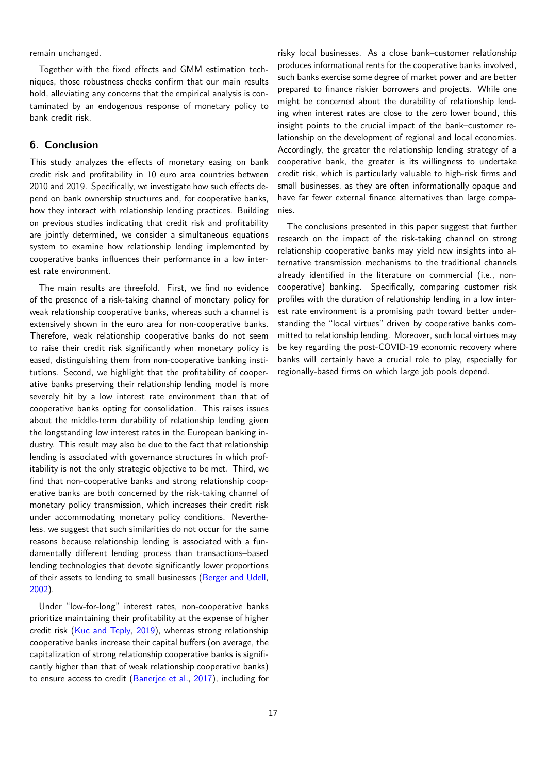remain unchanged.

Together with the fixed effects and GMM estimation techniques, those robustness checks confirm that our main results hold, alleviating any concerns that the empirical analysis is contaminated by an endogenous response of monetary policy to bank credit risk.

### **6. Conclusion**

This study analyzes the effects of monetary easing on bank credit risk and profitability in 10 euro area countries between 2010 and 2019. Specifically, we investigate how such effects depend on bank ownership structures and, for cooperative banks, how they interact with relationship lending practices. Building on previous studies indicating that credit risk and profitability are jointly determined, we consider a simultaneous equations system to examine how relationship lending implemented by cooperative banks influences their performance in a low interest rate environment.

The main results are threefold. First, we find no evidence of the presence of a risk-taking channel of monetary policy for weak relationship cooperative banks, whereas such a channel is extensively shown in the euro area for non-cooperative banks. Therefore, weak relationship cooperative banks do not seem to raise their credit risk significantly when monetary policy is eased, distinguishing them from non-cooperative banking institutions. Second, we highlight that the profitability of cooperative banks preserving their relationship lending model is more severely hit by a low interest rate environment than that of cooperative banks opting for consolidation. This raises issues about the middle-term durability of relationship lending given the longstanding low interest rates in the European banking industry. This result may also be due to the fact that relationship lending is associated with governance structures in which profitability is not the only strategic objective to be met. Third, we find that non-cooperative banks and strong relationship cooperative banks are both concerned by the risk-taking channel of monetary policy transmission, which increases their credit risk under accommodating monetary policy conditions. Nevertheless, we suggest that such similarities do not occur for the same reasons because relationship lending is associated with a fundamentally different lending process than transactions–based lending technologies that devote significantly lower proportions of their assets to lending to small businesses (Berger and Udell, 2002).

Under "low-for-long" interest rates, non-cooperative banks prioritize maintaining their profitability at the [expense of higher](#page-18-3) [credi](#page-18-3)t risk (Kuc and Teply, 2019), whereas strong relationship cooperative banks increase their capital buffers (on average, the capitalization of strong relationship cooperative banks is significantly higher than that of weak relationship cooperative banks) to ensure a[ccess to credit \(Baner](#page-19-19)jee et al., 2017), including for

risky local businesses. As a close bank–customer relationship produces informational rents for the cooperative banks involved, such banks exercise some degree of market power and are better prepared to finance riskier borrowers and projects. While one might be concerned about the durability of relationship lending when interest rates are close to the zero lower bound, this insight points to the crucial impact of the bank–customer relationship on the development of regional and local economies. Accordingly, the greater the relationship lending strategy of a cooperative bank, the greater is its willingness to undertake credit risk, which is particularly valuable to high-risk firms and small businesses, as they are often informationally opaque and have far fewer external finance alternatives than large companies.

The conclusions presented in this paper suggest that further research on the impact of the risk-taking channel on strong relationship cooperative banks may yield new insights into alternative transmission mechanisms to the traditional channels already identified in the literature on commercial (i.e., noncooperative) banking. Specifically, comparing customer risk profiles with the duration of relationship lending in a low interest rate environment is a promising path toward better understanding the "local virtues" driven by cooperative banks committed to relationship lending. Moreover, such local virtues may be key regarding the post-COVID-19 economic recovery where banks will certainly have a crucial role to play, especially for regionally-based firms on which large job pools depend.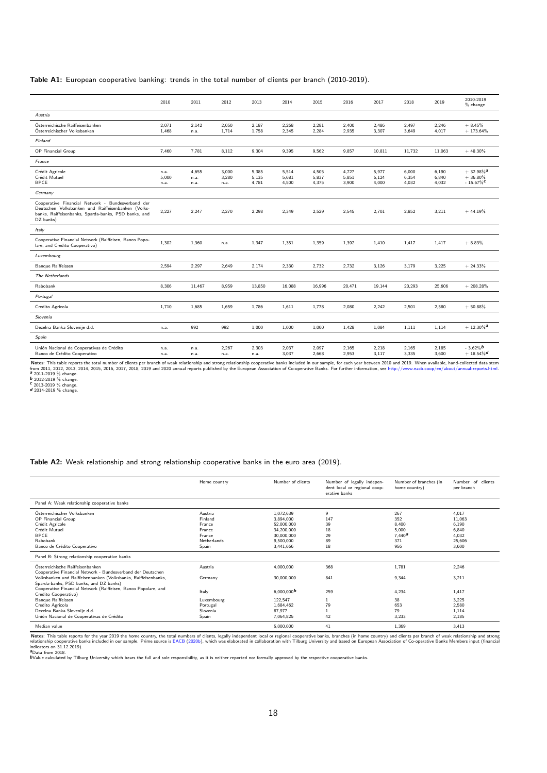**Table A1:** European cooperative banking: trends in the total number of clients per branch (2010-2019).

<span id="page-17-0"></span>

|                                                                                                                                                                              | 2010                  | 2011                  | 2012                   | 2013                    | 2014                    | 2015                    | 2016                    | 2017                    | 2018                    | 2019                    | 2010-2019<br>$%$ change                            |
|------------------------------------------------------------------------------------------------------------------------------------------------------------------------------|-----------------------|-----------------------|------------------------|-------------------------|-------------------------|-------------------------|-------------------------|-------------------------|-------------------------|-------------------------|----------------------------------------------------|
| Austria                                                                                                                                                                      |                       |                       |                        |                         |                         |                         |                         |                         |                         |                         |                                                    |
| Österreichische Raiffeisenbanken<br>Österreichischer Volksbanken                                                                                                             | 2,071<br>1,468        | 2,142<br>n.a.         | 2,050<br>1,714         | 2,187<br>1,758          | 2,268<br>2.345          | 2,281<br>2,284          | 2,400<br>2,935          | 2,486<br>3,307          | 2,497<br>3,649          | 2,246<br>4,017          | $+8.45%$<br>$+173.64\%$                            |
| Finland                                                                                                                                                                      |                       |                       |                        |                         |                         |                         |                         |                         |                         |                         |                                                    |
| OP Financial Group                                                                                                                                                           | 7.460                 | 7,781                 | 8.112                  | 9,304                   | 9,395                   | 9,562                   | 9,857                   | 10,811                  | 11,732                  | 11,063                  | $+48.30\%$                                         |
| France                                                                                                                                                                       |                       |                       |                        |                         |                         |                         |                         |                         |                         |                         |                                                    |
| Crédit Agricole<br>Crédit Mutuel<br><b>BPCE</b>                                                                                                                              | n.a.<br>5,000<br>n.a. | 4,655<br>n.a.<br>n.a. | 3,000<br>3,280<br>n.a. | 5,385<br>5,135<br>4,781 | 5,514<br>5,681<br>4,500 | 4,505<br>5,837<br>4,375 | 4,727<br>5,851<br>3,900 | 5,977<br>6,124<br>4,000 | 6,000<br>6,354<br>4,032 | 6,190<br>6,840<br>4,032 | $+32.98\%$ <sup>a</sup><br>$+36.80%$<br>$-15.67\%$ |
| Germany                                                                                                                                                                      |                       |                       |                        |                         |                         |                         |                         |                         |                         |                         |                                                    |
| Cooperative Financial Network - Bundesverband der<br>Deutschen Volksbanken und Raiffeisenbanken (Volks-<br>banks, Raiffeisenbanks, Sparda-banks, PSD banks, and<br>DZ banks) | 2,227                 | 2,247                 | 2,270                  | 2,298                   | 2.349                   | 2,529                   | 2,545                   | 2,701                   | 2,852                   | 3,211                   | $+44.19%$                                          |
| Italy                                                                                                                                                                        |                       |                       |                        |                         |                         |                         |                         |                         |                         |                         |                                                    |
| Cooperative Financial Network (Raiffeisen, Banco Popo-<br>lare, and Credito Cooperativo)                                                                                     | 1,302                 | 1,360                 | n.a.                   | 1,347                   | 1,351                   | 1,359                   | 1,392                   | 1,410                   | 1,417                   | 1,417                   | $+8.83%$                                           |
| Luxembourg                                                                                                                                                                   |                       |                       |                        |                         |                         |                         |                         |                         |                         |                         |                                                    |
| Banque Raiffeissen                                                                                                                                                           | 2,594                 | 2,297                 | 2,649                  | 2,174                   | 2,330                   | 2,732                   | 2,732                   | 3,126                   | 3,179                   | 3,225                   | $+24.33%$                                          |
| The Netherlands                                                                                                                                                              |                       |                       |                        |                         |                         |                         |                         |                         |                         |                         |                                                    |
| Rabobank                                                                                                                                                                     | 8,306                 | 11,467                | 8,959                  | 13,850                  | 16,088                  | 16,996                  | 20,471                  | 19,144                  | 20,293                  | 25,606                  | $+208.28%$                                         |
| Portugal                                                                                                                                                                     |                       |                       |                        |                         |                         |                         |                         |                         |                         |                         |                                                    |
| Credito Agricola                                                                                                                                                             | 1,710                 | 1,685                 | 1,659                  | 1,786                   | 1,611                   | 1,778                   | 2,080                   | 2,242                   | 2,501                   | 2,580                   | $+50.88%$                                          |
| Slovenia                                                                                                                                                                     |                       |                       |                        |                         |                         |                         |                         |                         |                         |                         |                                                    |
| Dezelna Banka Slovenije d.d.                                                                                                                                                 | n.a.                  | 992                   | 992                    | 1,000                   | 1,000                   | 1,000                   | 1,428                   | 1,084                   | 1,111                   | 1,114                   | $+12.30\%$ <sup>a</sup>                            |
| Spain                                                                                                                                                                        |                       |                       |                        |                         |                         |                         |                         |                         |                         |                         |                                                    |
| Unión Nacional de Cooperativas de Crédito<br>Banco de Crédito Cooperativo                                                                                                    | n.a.<br>n.a.          | n.a.<br>n.a.          | 2,267<br>n.a.          | 2,303<br>n.a.           | 2,037<br>3,037          | 2,097<br>2,668          | 2,165<br>2,953          | 2,218<br>3,117          | 2,165<br>3,335          | 2,185<br>3,600          | $-3.62\%$ b<br>$+18.54\%$ d                        |

Notes: This table reports the total number of clients per branch of weak relationship and strong relationship cooperative banks included in our sample, for each year between 2010 and 2019. When available, hand-collected da

#### **Table A2:** Weak relationship and strong relationship cooperative banks in the euro area (2019).

<span id="page-17-1"></span>

|                                                                                                                                                                                                               | Home country                                                             | Number of clients                                                                          | Number of legally indepen-<br>dent local or regional coop-<br>erative banks | Number of branches (in<br>home country)                 | Number of clients<br>per branch                               |
|---------------------------------------------------------------------------------------------------------------------------------------------------------------------------------------------------------------|--------------------------------------------------------------------------|--------------------------------------------------------------------------------------------|-----------------------------------------------------------------------------|---------------------------------------------------------|---------------------------------------------------------------|
| Panel A: Weak relationship cooperative banks                                                                                                                                                                  |                                                                          |                                                                                            |                                                                             |                                                         |                                                               |
| Österreichischer Volksbanken<br><b>OP Financial Group</b><br>Crédit Agricole<br>Crédit Mutuel<br><b>BPCE</b><br>Rabobank<br>Banco de Crédito Cooperativo                                                      | Austria<br>Finland<br>France<br>France<br>France<br>Netherlands<br>Spain | 1,072,639<br>3.894.000<br>52,000,000<br>34.200.000<br>30,000,000<br>9,500,000<br>3.441.666 | 9<br>147<br>39<br>18<br>29<br>89<br>18                                      | 267<br>352<br>8.400<br>5,000<br>$7,440^a$<br>371<br>956 | 4,017<br>11,063<br>6,190<br>6,840<br>4,032<br>25,606<br>3,600 |
| Panel B: Strong relationship cooperative banks                                                                                                                                                                |                                                                          |                                                                                            |                                                                             |                                                         |                                                               |
| Österreichische Raiffeisenbanken<br>Cooperative Financial Network - Bundesverband der Deutschen<br>Volksbanken und Raiffeisenbanken (Volksbanks, Raiffeisenbanks,<br>Sparda-banks, PSD banks, and DZ banks)   | Austria<br>Germany                                                       | 4,000,000<br>30,000,000                                                                    | 368<br>841                                                                  | 1,781<br>9.344                                          | 2,246<br>3.211                                                |
| Cooperative Financial Network (Raiffeisen, Banco Popolare, and<br>Credito Cooperativo)<br>Banque Raiffeissen<br>Credito Agricola<br>Dezelna Banka Slovenije d.d.<br>Unión Nacional de Cooperativas de Crédito | Italy<br>Luxembourg<br>Portugal<br>Slovenia<br>Spain                     | 6,000,000b<br>122,547<br>1.684.462<br>87.977<br>7.064.825                                  | 259<br>79<br>42                                                             | 4.234<br>38<br>653<br>79<br>3.233                       | 1.417<br>3,225<br>2,580<br>1,114<br>2,185                     |
| Median value                                                                                                                                                                                                  |                                                                          | 5,000,000                                                                                  | 41                                                                          | 1,369                                                   | 3,413                                                         |

Notes: This table reports for the year 2019 the home country, the total numbers of clients, legally independent local or regional cooperative banks, branches (in home country) and clients per branch of weak relationship an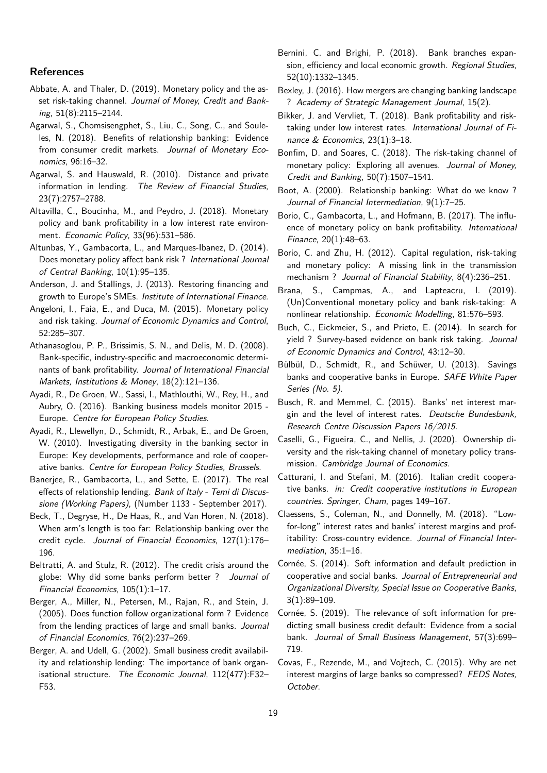### **References**

- <span id="page-18-24"></span>Abbate, A. and Thaler, D. (2019). Monetary policy and the asset risk-taking channel. *Journal of Money, Credit and Banking*, 51(8):2115–2144.
- <span id="page-18-26"></span>Agarwal, S., Chomsisengphet, S., Liu, C., Song, C., and Souleles, N. (2018). Benefits of relationship banking: Evidence from consumer credit markets. *Journal of Monetary Economics*, 96:16–32.
- <span id="page-18-11"></span>Agarwal, S. and Hauswald, R. (2010). Distance and private information in lending. *The Review of Financial Studies*, 23(7):2757–2788.
- <span id="page-18-8"></span>Altavilla, C., Boucinha, M., and Peydro, J. (2018). Monetary policy and bank profitability in a low interest rate environment. *Economic Policy*, 33(96):531–586.
- <span id="page-18-27"></span>Altunbas, Y., Gambacorta, L., and Marques-Ibanez, D. (2014). Does monetary policy affect bank risk ? *International Journal of Central Banking*, 10(1):95–135.
- <span id="page-18-29"></span>Anderson, J. and Stallings, J. (2013). Restoring financing and growth to Europe's SMEs. *Institute of International Finance*.
- <span id="page-18-15"></span>Angeloni, I., Faia, E., and Duca, M. (2015). Monetary policy and risk taking. *Journal of Economic Dynamics and Control*, 52:285–307.
- <span id="page-18-2"></span>Athanasoglou, P. P., Brissimis, S. N., and Delis, M. D. (2008). Bank-specific, industry-specific and macroeconomic determinants of bank profitability. *Journal of International Financial Markets, Institutions & Money*, 18(2):121–136.
- <span id="page-18-12"></span>Ayadi, R., De Groen, W., Sassi, I., Mathlouthi, W., Rey, H., and Aubry, O. (2016). Banking business models monitor 2015 - Europe. *Centre for European Policy Studies*.
- <span id="page-18-4"></span>Ayadi, R., Llewellyn, D., Schmidt, R., Arbak, E., and De Groen, W. (2010). Investigating diversity in the banking sector in Europe: Key developments, performance and role of cooperative banks. *Centre for European Policy Studies, Brussels*.
- <span id="page-18-30"></span>Banerjee, R., Gambacorta, L., and Sette, E. (2017). The real effects of relationship lending. *Bank of Italy - Temi di Discussione (Working Papers)*, (Number 1133 - September 2017).
- <span id="page-18-28"></span>Beck, T., Degryse, H., De Haas, R., and Van Horen, N. (2018). When arm's length is too far: Relationship banking over the credit cycle. *Journal of Financial Economics*, 127(1):176– 196.
- <span id="page-18-25"></span>Beltratti, A. and Stulz, R. (2012). The credit crisis around the globe: Why did some banks perform better ? *Journal of Financial Economics*, 105(1):1–17.
- <span id="page-18-5"></span>Berger, A., Miller, N., Petersen, M., Rajan, R., and Stein, J. (2005). Does function follow organizational form ? Evidence from the lending practices of large and small banks. *Journal of Financial Economics*, 76(2):237–269.
- <span id="page-18-3"></span>Berger, A. and Udell, G. (2002). Small business credit availability and relationship lending: The importance of bank organisational structure. *The Economic Journal*, 112(477):F32– F53.
- <span id="page-18-6"></span>Bernini, C. and Brighi, P. (2018). Bank branches expansion, efficiency and local economic growth. *Regional Studies*, 52(10):1332–1345.
- <span id="page-18-9"></span>Bexley, J. (2016). How mergers are changing banking landscape ? *Academy of Strategic Management Journal*, 15(2).
- <span id="page-18-10"></span>Bikker, J. and Vervliet, T. (2018). Bank profitability and risktaking under low interest rates. *International Journal of Finance & Economics*, 23(1):3–18.
- <span id="page-18-17"></span>Bonfim, D. and Soares, C. (2018). The risk-taking channel of monetary policy: Exploring all avenues. *Journal of Money, Credit and Banking*, 50(7):1507–1541.
- <span id="page-18-13"></span>Boot, A. (2000). Relationship banking: What do we know ? *Journal of Financial Intermediation*, 9(1):7–25.
- <span id="page-18-19"></span>Borio, C., Gambacorta, L., and Hofmann, B. (2017). The influence of monetary policy on bank profitability. *International Finance*, 20(1):48–63.
- <span id="page-18-0"></span>Borio, C. and Zhu, H. (2012). Capital regulation, risk-taking and monetary policy: A missing link in the transmission mechanism ? *Journal of Financial Stability*, 8(4):236–251.
- <span id="page-18-18"></span>Brana, S., Campmas, A., and Lapteacru, I. (2019). (Un)Conventional monetary policy and bank risk-taking: A nonlinear relationship. *Economic Modelling*, 81:576–593.
- <span id="page-18-16"></span>Buch, C., Eickmeier, S., and Prieto, E. (2014). In search for yield ? Survey-based evidence on bank risk taking. *Journal of Economic Dynamics and Control*, 43:12–30.
- <span id="page-18-23"></span>Bülbül, D., Schmidt, R., and Schüwer, U. (2013). Savings banks and cooperative banks in Europe. *SAFE White Paper Series (No. 5)*.
- <span id="page-18-21"></span>Busch, R. and Memmel, C. (2015). Banks' net interest margin and the level of interest rates. *Deutsche Bundesbank, Research Centre Discussion Papers 16/2015*.
- <span id="page-18-14"></span>Caselli, G., Figueira, C., and Nellis, J. (2020). Ownership diversity and the risk-taking channel of monetary policy transmission. *Cambridge Journal of Economics*.
- <span id="page-18-7"></span>Catturani, I. and Stefani, M. (2016). Italian credit cooperative banks. *in: Credit cooperative institutions in European countries. Springer, Cham*, pages 149–167.
- <span id="page-18-1"></span>Claessens, S., Coleman, N., and Donnelly, M. (2018). "Lowfor-long" interest rates and banks' interest margins and profitability: Cross-country evidence. *Journal of Financial Intermediation*, 35:1–16.
- <span id="page-18-22"></span>Cornée, S. (2014). Soft information and default prediction in cooperative and social banks. *Journal of Entrepreneurial and Organizational Diversity, Special Issue on Cooperative Banks*, 3(1):89–109.
- <span id="page-18-31"></span>Cornée, S. (2019). The relevance of soft information for predicting small business credit default: Evidence from a social bank. *Journal of Small Business Management*, 57(3):699– 719.
- <span id="page-18-20"></span>Covas, F., Rezende, M., and Vojtech, C. (2015). Why are net interest margins of large banks so compressed? *FEDS Notes, October*.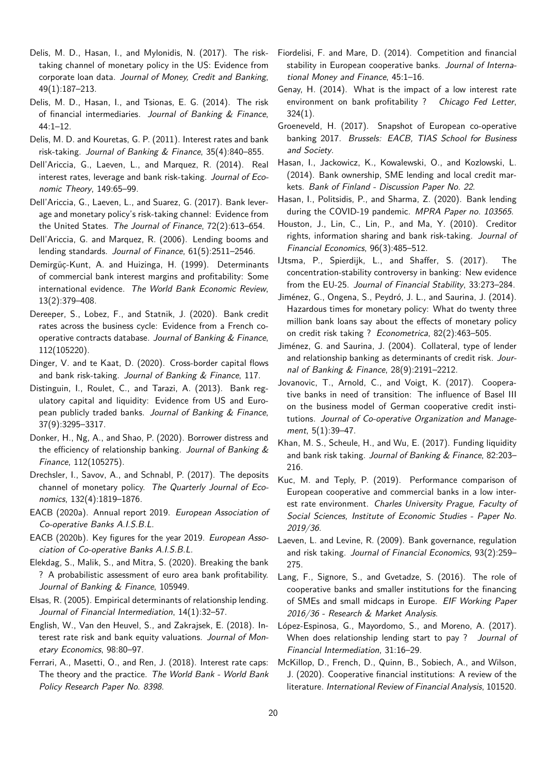- <span id="page-19-8"></span>Delis, M. D., Hasan, I., and Mylonidis, N. (2017). The risktaking channel of monetary policy in the US: Evidence from corporate loan data. *Journal of Money, Credit and Banking*, 49(1):187–213.
- <span id="page-19-26"></span>Delis, M. D., Hasan, I., and Tsionas, E. G. (2014). The risk of financial intermediaries. *Journal of Banking & Finance*, 44:1–12.
- <span id="page-19-12"></span>Delis, M. D. and Kouretas, G. P. (2011). Interest rates and bank risk-taking. *Journal of Banking & Finance*, 35(4):840–855.
- <span id="page-19-10"></span>Dell'Ariccia, G., Laeven, L., and Marquez, R. (2014). Real interest rates, leverage and bank risk-taking. *Journal of Economic Theory*, 149:65–99.
- <span id="page-19-31"></span>Dell'Ariccia, G., Laeven, L., and Suarez, G. (2017). Bank leverage and monetary policy's risk-taking channel: Evidence from the United States. *The Journal of Finance*, 72(2):613–654.
- <span id="page-19-9"></span>Dell'Ariccia, G. and Marquez, R. (2006). Lending booms and lending standards. *Journal of Finance*, 61(5):2511–2546.
- <span id="page-19-13"></span>Demirgüç-Kunt, A. and Huizinga, H. (1999). Determinants of commercial bank interest margins and profitability: Some international evidence. *The World Bank Economic Review*, 13(2):379–408.
- <span id="page-19-18"></span>Dereeper, S., Lobez, F., and Statnik, J. (2020). Bank credit rates across the business cycle: Evidence from a French cooperative contracts database. *Journal of Banking & Finance*, 112(105220).
- <span id="page-19-28"></span>Dinger, V. and te Kaat, D. (2020). Cross-border capital flows and bank risk-taking. *Journal of Banking & Finance*, 117.
- <span id="page-19-22"></span>Distinguin, I., Roulet, C., and Tarazi, A. (2013). Bank regulatory capital and liquidity: Evidence from US and European publicly traded banks. *Journal of Banking & Finance*, 37(9):3295–3317.
- <span id="page-19-17"></span>Donker, H., Ng, A., and Shao, P. (2020). Borrower distress and the efficiency of relationship banking. *Journal of Banking & Finance*, 112(105275).
- <span id="page-19-15"></span>Drechsler, I., Savov, A., and Schnabl, P. (2017). The deposits channel of monetary policy. *The Quarterly Journal of Economics*, 132(4):1819–1876.
- <span id="page-19-1"></span>EACB (2020a). Annual report 2019. *European Association of Co-operative Banks A.I.S.B.L.*
- <span id="page-19-2"></span>EACB (2020b). Key figures for the year 2019. *European Association of Co-operative Banks A.I.S.B.L.*
- Elekdag, S., Malik, S., and Mitra, S. (2020). Breaking the bank ? A probabilistic assessment of euro area bank profitability. *Journal of Banking & Finance*, 105949.
- <span id="page-19-0"></span>Elsas, R. (2005). Empirical determinants of relationship lending. *Journal of Financial Intermediation*, 14(1):32–57.
- <span id="page-19-16"></span>English, W., Van den Heuvel, S., and Zakrajsek, E. (2018). Interest rate risk and bank equity valuations. *Journal of Monetary Economics*, 98:80–97.
- <span id="page-19-21"></span>Ferrari, A., Masetti, O., and Ren, J. (2018). Interest rate caps: The theory and the practice. *The World Bank - World Bank Policy Research Paper No. 8398*.
- <span id="page-19-4"></span>Fiordelisi, F. and Mare, D. (2014). Competition and financial stability in European cooperative banks. *Journal of International Money and Finance*, 45:1–16.
- <span id="page-19-14"></span>Genay, H. (2014). What is the impact of a low interest rate environment on bank profitability ? *Chicago Fed Letter*, 324(1).
- <span id="page-19-29"></span>Groeneveld, H. (2017). Snapshot of European co-operative banking 2017. *Brussels: EACB, TIAS School for Business and Society*.
- <span id="page-19-20"></span>Hasan, I., Jackowicz, K., Kowalewski, O., and Kozlowski, L. (2014). Bank ownership, SME lending and local credit markets. *Bank of Finland - Discussion Paper No. 22*.
- <span id="page-19-30"></span>Hasan, I., Politsidis, P., and Sharma, Z. (2020). Bank lending during the COVID-19 pandemic. *MPRA Paper no. 103565*.
- <span id="page-19-25"></span>Houston, J., Lin, C., Lin, P., and Ma, Y. (2010). Creditor rights, information sharing and bank risk-taking. *Journal of Financial Economics*, 96(3):485–512.
- <span id="page-19-23"></span>IJtsma, P., Spierdijk, L., and Shaffer, S. (2017). The concentration-stability controversy in banking: New evidence from the EU-25. *Journal of Financial Stability*, 33:273–284.
- <span id="page-19-11"></span>Jiménez, G., Ongena, S., Peydró, J. L., and Saurina, J. (2014). Hazardous times for monetary policy: What do twenty three million bank loans say about the effects of monetary policy on credit risk taking ? *Econometrica*, 82(2):463–505.
- <span id="page-19-7"></span>Jiménez, G. and Saurina, J. (2004). Collateral, type of lender and relationship banking as determinants of credit risk. *Journal of Banking & Finance*, 28(9):2191–2212.
- <span id="page-19-6"></span>Jovanovic, T., Arnold, C., and Voigt, K. (2017). Cooperative banks in need of transition: The influence of Basel III on the business model of German cooperative credit institutions. *Journal of Co-operative Organization and Management*, 5(1):39–47.
- <span id="page-19-24"></span>Khan, M. S., Scheule, H., and Wu, E. (2017). Funding liquidity and bank risk taking. *Journal of Banking & Finance*, 82:203– 216.
- <span id="page-19-19"></span>Kuc, M. and Teply, P. (2019). Performance comparison of European cooperative and commercial banks in a low interest rate environment. *Charles University Prague, Faculty of Social Sciences, Institute of Economic Studies - Paper No. 2019/36*.
- <span id="page-19-27"></span>Laeven, L. and Levine, R. (2009). Bank governance, regulation and risk taking. *Journal of Financial Economics*, 93(2):259– 275.
- <span id="page-19-3"></span>Lang, F., Signore, S., and Gvetadze, S. (2016). The role of cooperative banks and smaller institutions for the financing of SMEs and small midcaps in Europe. *EIF Working Paper 2016/36 - Research & Market Analysis*.
- López-Espinosa, G., Mayordomo, S., and Moreno, A. (2017). When does relationship lending start to pay ? *Journal of Financial Intermediation*, 31:16–29.
- <span id="page-19-5"></span>McKillop, D., French, D., Quinn, B., Sobiech, A., and Wilson, J. (2020). Cooperative financial institutions: A review of the literature. *International Review of Financial Analysis*, 101520.